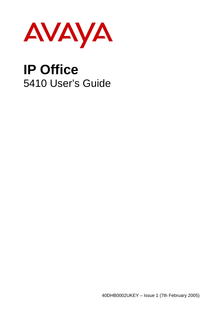

# **IP Office**  5410 User's Guide

40DHB0002UKEY – Issue 1 (7th February 2005)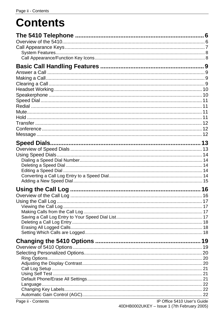# **Contents**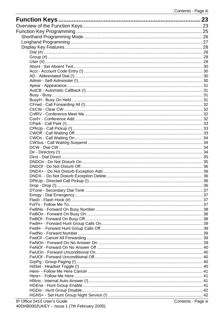| 23    |
|-------|
|       |
|       |
|       |
|       |
|       |
|       |
|       |
|       |
|       |
|       |
|       |
|       |
|       |
|       |
|       |
|       |
|       |
|       |
|       |
|       |
|       |
|       |
|       |
|       |
|       |
|       |
|       |
|       |
|       |
|       |
|       |
|       |
| . 36. |
|       |
|       |
|       |
|       |
|       |
|       |
|       |
|       |
|       |
|       |
|       |
|       |
|       |
|       |
|       |
|       |
|       |
|       |
|       |
|       |
|       |
|       |
|       |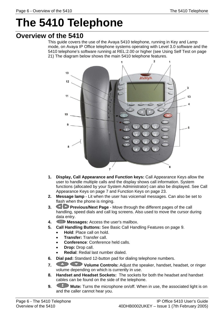# <span id="page-5-0"></span>**The 5410 Telephone**

# <span id="page-5-1"></span>**Overview of the 5410**

This guide covers the use of the Avaya 5410 telephone, running in Key and Lamp mode, on Avaya IP Office telephone systems operating with Level 3.0 software and the 5410 telephone's software running at REL:2.00 or higher (see [Using Self Test](#page-20-1) on page [21\)](#page-20-1) The diagram below shows the main 5410 telephone features.



- **1. Display, Call Appearance and Function keys:** Call Appearance Keys allow the user to handle multiple calls and the display shows call information. System functions (allocated by your System Administrator) can also be displayed. See [Call](#page-6-0)  [Appearance Keys o](#page-6-0)n page [7](#page-6-0) and [Function Keys](#page-22-0) on page [23.](#page-22-0)
- **2. Message lamp**  Lit when the user has voicemail messages. Can also be set to flash when the phone is ringing.
- **3. Previous/Next Page Move through the different pages of the call** handling, speed dials and call log screens. Also used to move the cursor during data entry.
- **4. Messages:** Access the user's mailbox.
- **5. Call Handling Buttons:** See [Basic Call Handling Features](#page-8-0) on page [9.](#page-8-0)
	- **Hold**: Place call on hold.
	- **Transfer:** Transfer call.
	- **Conference**: Conference held calls.
	- **Drop:** Drop call.
	- **Redial**: Redial last number dialed.
- **6. Dial pad:** Standard 12-button pad for dialing telephone numbers.
- **7.** Volume Controls: Adjust the speaker, handset, headset, or ringer volume depending on which is currently in use.
- **8. Handset and Headset Sockets:** The sockets for both the headset and handset cables can be found on the side of the telephone.
- **9. Mute:** Turns the microphone on/off. When in use, the associated light is on and the caller cannot hear you.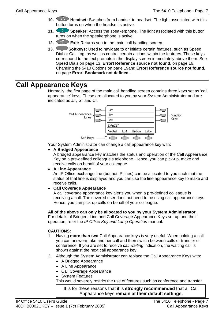- **10. Headset:** Switches from handset to headset. The light associated with this button turns on when the headset is active.
- **11.** Speaker: Access the speakerphone. The light associated with this button turns on when the speakerphone is active.
- **12.**  $\leftarrow$  **Exit:** Returns you to the main call handling screen.
- **13. Softkeys:** Used to navigate to or initiate certain features, such as Speed Dial or Call Log, as well as control certain actions within the features. These keys correspond to the text prompts in the display screen immediately above them. See [Speed Dials](#page-12-0) on page [13,](#page-12-0) **[Error! Reference source not found.](#page-15-0)** on page [16,](#page-15-0) [Changing the 5410 Options](#page-18-0) on page [19a](#page-18-0)nd **[Error! Reference source not found.](#page-22-0)** on page **[Error! Bookmark not defined.](#page-22-0)**.

## <span id="page-6-0"></span>**Call Appearance Keys**

Normally, the first page of the main call handling screen contains three keys set as 'call appearance' keys. These are allocated to you by your System Administrator and are indicated as **a=**, **b=** and **c=**.



Your System Administrator can change a call appearance key with:

#### • **A Bridged Appearance**

A bridged appearance key matches the status and operation of the Call Appearance Key on a pre-defined colleague's telephone. Hence, you can pick-up, make and receive calls on behalf of your colleague.

#### • **A Line Appearance**

An IP Office exchange line (but not IP lines) can be allocated to you such that the status of that line is displayed and you can use the line appearance key to make and receive calls.

#### • **Call Coverage Appearance**

A call coverage appearance key alerts you when a pre-defined colleague is receiving a call. The covered user does not need to be using call appearance keys. Hence, you can pick-up calls on behalf of your colleague.

#### **All of the above can only be allocated to you by your System Administrator**.

For details of Bridged, Line and Call Coverage Appearance Keys set-up and their operation, refer the IP Office Key and Lamp Operation manual.

#### **CAUTIONS:**

- 1. Having **more than two** Call Appearance keys is very useful. When holding a call you can answer/make another call and then switch between calls or transfer or conference. If you are set to receive call waiting indication, the waiting call is shown against the next call appearance key.
- 2. Although the System Administrator can replace the Call Appearance Keys with:
	- A Bridged Appearance
	- A Line Appearance
	- Call Coverage Appearance
	- System Features

This would severely restrict the use of features such as conference and transfer.

It is for these reasons that it is **strongly recommended** that all Call Appearance keys **remain at their default settings.**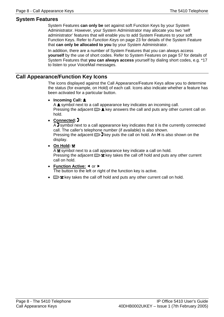### <span id="page-7-0"></span>**System Features**

System Features **can only be** set against soft Function Keys by your System Administrator. However, your System Administrator may allocate you two 'self administrator' features that will enable you to add System Features to your soft Function Keys. Refer to [Function Keys](#page-22-0) on page [23](#page-22-0) for details of the System Feature that **can only be allocated to you** by your System Administrator.

In addition, there are a number of System Features that you can always access **yourself** by the use of short codes. Refer to [System Features](#page-56-0) on page [57](#page-56-0) for details of System Features that **you can always access** yourself by dialing short codes, e.g. \*17 to listen to your VoiceMail messages.

#### <span id="page-7-1"></span>**Call Appearance/Function Key Icons**

The icons displayed against the Call Appearance/Feature Keys allow you to determine the status (for example, on Hold) of each call. Icons also indicate whether a feature has been activated for a particular button.

#### • **Incoming Call:**

A **t** symbol next to a call appearance key indicates an incoming call. Pressing the adjacent  $\Box$  **L** key answers the call and puts any other current call on hold.

#### • **Connected:**

 $\overline{A}$  symbol next to a call appearance key indicates that it is the currently connected call. The caller's telephone number (if available) is also shown. Pressing the adjacent  $\Box$  **F** key puts the call on hold. An **H** is also shown on the display.

• **On Hold:** 

 $\overline{A}$  **x** symbol next to a call appearance key indicate a call on hold. Pressing the adjacent  $\Box$  **E** key takes the call off hold and puts any other current call on hold.

#### • Function Active: < or  $\blacktriangleright$

The button to the left or right of the function key is active.

•  $\Box$  **key takes the call off hold and puts any other current call on hold.**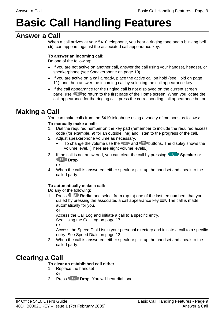# <span id="page-8-0"></span>**Basic Call Handling Features**

# <span id="page-8-1"></span>**Answer a Call**

When a call arrives at your 5410 telephone, you hear a ringing tone and a blinking bell  $(\triangle)$  icon appears against the associated call appearance key.

#### **To answer an incoming call:**

Do one of the following:

- If you are not active on another call, answer the call using your handset, headset, or speakerphone (see [Speakerphone](#page-9-1) on page [10\)](#page-9-1).
- If you are active on a call already, place the active call on hold (see [Hold](#page-10-3) on page [11\)](#page-10-3), and then answer the incoming call by selecting the call appearance key.
- If the call appearance for the ringing call is not displayed on the current screen page, use  $\overline{p}$  to return to the first page of the Home screen. When you locate the call appearance for the ringing call, press the corresponding call appearance button.

# <span id="page-8-2"></span>**Making a Call**

You can make calls from the 5410 telephone using a variety of methods as follows:

#### **To manually make a call:**

- 1. Dial the required number on the key pad (remember to include the required access code (for example, 9) for an outside line) and listen to the progress of the call.
- 2. Adjust speakerphone volume as necessary.
	- To change the volume use the  $\bullet$  and  $\bullet$  buttons. The display shows the volume level. (There are eight volume levels.)
- 3. If the call is not answered, you can clear the call by pressing **Speaker** or **CID** Drop

**or**

4. When the call is answered, either speak or pick up the handset and speak to the called party.

### **To automatically make a call:**

Do any of the following:

1. Press **Redial** and select from (up to) one of the last ten numbers that you dialed by pressing the associated a call appearance key  $\Box$ . The call is made automatically for you. **or**

 Access the Call Log and initiate a call to a specific entry. See [Using the Call Log](#page-16-0) on page [17.](#page-16-0)

**or**

 Access the Speed Dial List in your personal directory and initiate a call to a specific entry. See [Speed Dials](#page-12-0) on page [13.](#page-12-0)

2. When the call is answered, either speak or pick up the handset and speak to the called party.

# <span id="page-8-3"></span>**Clearing a Call**

#### **To clear an established call either:**

1. Replace the handset

**or**

2. Press **U** Drop. You will hear dial tone.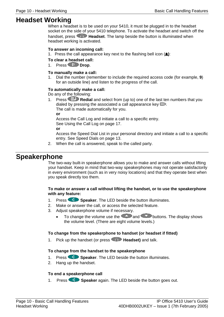# <span id="page-9-0"></span>**Headset Working**

When a headset is to be used on your 5410, it must be plugged in to the headset socket on the side of your 5410 telephone. To activate the headset and switch off the handset, press **A. Headset**. The lamp beside the button is illuminated when headset working is activated.

#### **To answer an incoming call:**

1. Press the call appearance key next to the flashing bell icon (**1**):

#### **To clear a headset call:**

1. Press **Drop**.

#### **To manually make a call:**

1. Dial the number (remember to include the required access code (for example, **9**) for an outside line) and listen to the progress of the call.

#### **To automatically make a call:**

Do any of the following:

1. Press **Redial** and select from (up to) one of the last ten numbers that you dialed by pressing the associated a call appearance key  $\Box$ .

The call is made automatically for you.

**or**

 Access the Call Log and initiate a call to a specific entry. See [Using the Call Log](#page-16-0) on page [17.](#page-16-0)

**or**

 Access the Speed Dial List in your personal directory and initiate a call to a specific entry. See [Speed Dials](#page-12-0) on page [13.](#page-12-0)

2. When the call is answered, speak to the called party.

## <span id="page-9-1"></span>**Speakerphone**

The two-way built-in speakerphone allows you to make and answer calls without lifting your handset. Keep in mind that two-way speakerphones may not operate satisfactorily in every environment (such as in very noisy locations) and that they operate best when you speak directly too them.

#### **To make or answer a call without lifting the handset, or to use the speakerphone with any feature:**

- 1. Press **Speaker**. The LED beside the button illuminates.
- 2. Make or answer the call, or access the selected feature.
- 3. Adjust speakerphone volume if necessary.
	- To change the volume use the  $\bigodot$  and buttons. The display shows the volume level. (There are eight volume levels.)

#### **To change from the speakerphone to handset (or headset if fitted)**

1. Pick up the handset (or press **Headset)** and talk.

#### **To change from the handset to the speakerphone**

- 1. Press **Speaker**. The LED beside the button illuminates.
- 2. Hang up the handset.

#### **To end a speakerphone call**

1. Press **Speaker** again. The LED beside the button goes out.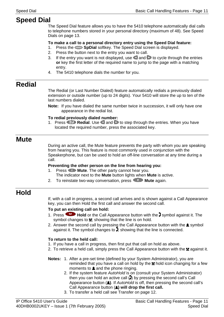# <span id="page-10-0"></span>**Speed Dial**

The Speed Dial feature allows you to have the 5410 telephone automatically dial calls to telephone numbers stored in your personal directory (maximum of 48). See [Speed](#page-12-0)  [Dials](#page-12-0) on page [13.](#page-12-0)

#### **To make a call to a personal directory entry using the Speed Dial feature:**

- 1. Press the **SpDial** softkey. The Speed Dial screen is displayed.
- 2. Press the button next to the entry you want to call.
- 3. If the entry you want is not displayed, use  $\Box$  and  $\Box$  to cycle through the entries **or** key the first letter of the required name to jump to the page with a matching entry.
- 4. The 5410 telephone dials the number for you.

# <span id="page-10-1"></span>**Redial**

The Redial (or Last Number Dialed) feature automatically redials a previously dialed extension or outside number (up to 24 digits). Your 5410 will store the up to ten of the last numbers dialed.

**Note:** If you have dialed the same number twice in succession, it will only have one appearance in the redial list.

#### **To redial previously dialed number:**

1. Press **B** Redial. Use and b to step through the entries. When you have located the required number, press the associated key.

## <span id="page-10-2"></span>**Mute**

During an active call, the Mute feature prevents the party with whom you are speaking from hearing you. This feature is most commonly used in conjunction with the Speakerphone, but can be used to hold an off-line conversation at any time during a call.

#### **Preventing the other person on the line from hearing you:**

- 1. Press **Mute**. The other party cannot hear you. The indicator next to the **Mute** button lights when **Mute** is active.
- 2. To reinstate two-way conversation, press **CO** Mute again.

# <span id="page-10-3"></span>**Hold**

If, with a call in progress, a second call arrives and is shown against a Call Appearance key, you can then Hold the first call and answer the second call.

#### **To put an existing call on hold:**

- 1. Press **Hold** or the Call Appearance button with the symbol against it. The symbol changes to  $\blacktriangle$ ; showing that the line is on hold.
- 2. Answer the second call by pressing the Call Appearance button with the  $\blacksquare$  symbol against it. The symbol changes to  $\mathbf{I}$ ; showing that the line is connected.

#### **To return to the held call:**

- 1. If you have a call in progress, then first put that call on hold as above.
- 2. To retrieve a held call, simply press the Call Appearance button with the  $\blacksquare$  against it.
- **Notes:** 1. After a pre-set time (defined by your System Administrator), you are reminded that you have a call on hold by the  $\blacksquare$  hold icon changing for a few moments to  $\triangle$  and the phone ringing.
	- 2. If the system feature AutoHold is on (consult your System Administrator) then you can hold an active call  $\left(\frac{1}{2}\right)$  by pressing the second call's Call Appearance button (**L**). If AutoHold is off, then pressing the second call's Call Appearance button ( $\triangle$ ) will drop the first call.
	- 3. To transfer a held call see [Transfer](#page-11-0) on page [12.](#page-11-0)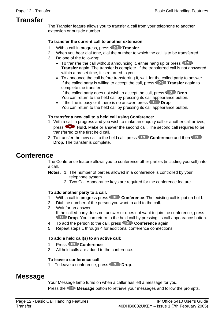## <span id="page-11-0"></span>**Transfer**

The Transfer feature allows you to transfer a call from your telephone to another extension or outside number.

#### **To transfer the current call to another extension**

- 1. With a call in progress, press **TH** Transfer
- 2. When you hear dial tone, dial the number to which the call is to be transferred.
- 3. Do one of the following:
	- To transfer the call without announcing it, either hang up or press **Transfer** again. The transfer is complete. If the transferred call is not answered within a preset time, it is returned to you.
	- To announce the call before transferring it, wait for the called party to answer. If the called party is willing to accept the call, press **The Transfer** again to complete the transfer.

If the called party does not wish to accept the call, press **CD** Drop. You can return to the held call by pressing its call appearance button.

• If the line is busy or if there is no answer, press **CD** Drop. You can return to the held call by pressing its call appearance button.

#### **To transfer a new call to a held call using Conference:**

- 1. With a call in progress and you wish to make an enquiry call or another call arrives, press **Hold**. Make or answer the second call. The second call requires to be transferred to the first held call.
- 2. To transfer the new call to the held call, press **CCC Conference** and then **Drop**. The transfer is complete.

## <span id="page-11-1"></span>**Conference**

The Conference feature allows you to conference other parties (including yourself) into a call.

- **Notes:** 1. The number of parties allowed in a conference is controlled by your telephone system.
	- 2. Two Call Appearance keys are required for the conference feature.

#### **To add another party to a call:**

- 1. With a call in progress press **Conference**. The existing call is put on hold.
- 2. Dial the number of the person you want to add to the call.
- 3. Wait for an answer.

If the called party does not answer or does not want to join the conference, press **CUD** Drop. You can return to the held call by pressing its call appearance button.

- 4. To add the person to the call, press **Conference** again.
- 5. Repeat steps 1 through 4 for additional conference connections.

#### **To add a held call(s) to an active call:**

- 1. Press **Conference**.
- 2. All held calls are added to the conference.

#### **To leave a conference call:**

1. To leave a conference, press **(1)** Drop.

## <span id="page-11-2"></span>**Message**

Your Message lamp turns on when a caller has left a message for you.

Press the **Message** button to retrieve your messages and follow the prompts.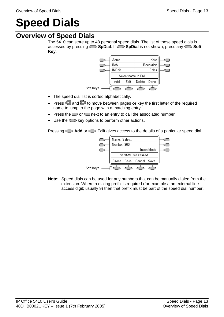# <span id="page-12-0"></span>**Speed Dials**

# <span id="page-12-1"></span>**Overview of Speed Dials**

The 5410 can store up to 48 personal speed dials. The list of these speed dials is accessed by pressing **SpDial**. If **SpDial** is not shown, press any **Soft Key**.



- The speed dial list is sorted alphabetically.
- Press and **b** to move between pages or key the first letter of the required name to jump to the page with a matching entry.
- Press the  $\Box$  or  $\Box$  next to an entry to call the associated number.
- Use the  $\leq$  key options to perform other actions.

Pressing **Add** or **Edit** gives access to the details of a particular speed dial.



**Note**: Speed dials can be used for any numbers that can be manually dialed from the extension. Where a dialing prefix is required (for example a an external line access digit; usually 9) then that prefix must be part of the speed dial number.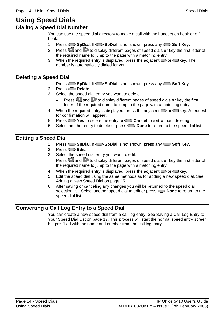# <span id="page-13-0"></span>**Using Speed Dials**

### <span id="page-13-1"></span>**Dialing a Speed Dial Number**

You can use the speed dial directory to make a call with the handset on hook or off hook.

- 1. Press **SpDial**. If **SpDial** is not shown, press any **Soft Key**.
- 2. Press **and D** to display different pages of speed dials **or** key the first letter of the required name to jump to the page with a matching entry.
- 3. When the required entry is displayed, press the adjacent  $\Box$  or  $\Box$  key. The number is automatically dialed for you.

## <span id="page-13-2"></span>**Deleting a Speed Dial**

- 1. Press **SpDial**. If **SpDial** is not shown, press any **Soft Key**.
- 2. Press **Delete**.
- 3. Select the speed dial entry you want to delete.
	- **Press and D** to display different pages of speed dials or key the first letter of the required name to jump to the page with a matching entry.
- 4. When the required entry is displayed, press the adjacent  $\Box$  or  $\Box$  key. A request for confirmation will appear.
- 5. Press **Yes** to delete the entry or **Cancel** to exit without deleting.
- 6. Select another entry to delete or press **Done** to return to the speed dial list.

## <span id="page-13-3"></span>**Editing a Speed Dial**

- 1. Press **SpDial**. If **SpDial** is not shown, press any **Soft Key**.
- 2. Press **Edit**.
- 3. Select the speed dial entry you want to edit. Press and b to display different pages of speed dials or key the first letter of the required name to jump to the page with a matching entry.
- 4. When the required entry is displayed, press the adjacent  $\Box$  or  $\Box$  key.
- 5. Edit the speed dial using the same methods as for adding a new speed dial. See [Adding a New Speed Dial](#page-14-0) on page [15.](#page-14-0)
- 6. After saving or canceling any changes you will be returned to the speed dial selection list. Select another speed dial to edit or press **Done** to return to the speed dial list.

## <span id="page-13-4"></span>**Converting a Call Log Entry to a Speed Dial**

You can create a new speed dial from a call log entry. See [Saving a Call Log Entry to](#page-16-3)  [Your Speed Dial List](#page-16-3) on page [17.](#page-16-3) This process will start the normal speed entry screen but pre-filled with the name and number from the call log entry.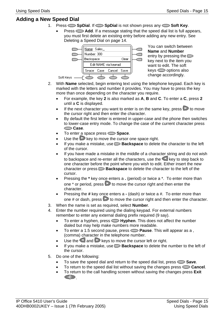## <span id="page-14-0"></span>**Adding a New Speed Dial**

- 1. Press **SpDial**. If **SpDial** is not shown press any **Soft Key**.
	- Press  $\sum$  **Add**. If a message stating that the speed dial list is full appears, you must first delete an existing entry before adding any new entry. See [Deleting a Speed Dial](#page-13-2) on page [14.](#page-13-2)



You can switch between **Name** and **Number** entry by pressing the  $\Box$ key next to the item you want to edit. The soft  $keys \implies$  options also change accordingly.

- 2. With **Name** selected, begin entering text using the telephone keypad. Each key is marked with the letters and number it provides. You may have to press the key more than once depending on the character you require.
	- For example, the key **2** is also marked as **A**, **B** and **C**. To enter a **C**, press **2** until a **C** is displayed.
	- If the next character you want to enter is on the same key, press  $\triangleright$  to move the cursor right and then enter the character.
	- By default the first letter is entered in upper-case and the phone then switches to lower-case entry mode. To change the case of the current character press **Case**.
	- To enter a space press **Space**.
	- $\bullet$  Use the  $\triangleright$  key to move the cursor one space right.
	- If you make a mistake, use **Backspace** to delete the character to the left of the cursor.
	- If you have made a mistake in the middle of a character string and do not wish to backspace and re-enter all the characters, use the  $\blacksquare$  key to step back to one character before the point where you wish to edit. Either insert the new character or press **Backspace** to delete the character to the left of the cursor.
	- Pressing the \* key once enters a . (period) or twice a \*. To enter more than one  $*$  or period, press  $\triangleright$  to move the cursor right and then enter the character.
	- Pressing the **#** key once enters a (dash) or twice a #. To enter more than one # or dash, press  $\triangleright$  to move the cursor right and then enter the character.
- 3. When the name is set as required, select **Number**.
- 4. Enter the number required using the dialing keypad. For external numbers remember to enter any external dialing prefix required (9 say).
	- To enter a hyphen, press **Hyphen**. This does not affect the number dialed but may help make numbers more readable.
	- To enter a 1.5 second pause, press **Pause**. This will appear as a , (comma) character in the telephone number.
	- Use the  $\blacksquare$  and  $\triangleright$  keys to move the cursor left or right.
	- If you make a mistake, use **Backspace** to delete the number to the left of the cursor.
- 5. Do one of the following:
	- To save the speed dial and return to the speed dial list, press **Save**.
	- To return to the speed dial list without saving the changes press **Cancel**.
	- To return to the call handling screen without saving the changes press **Exit**   $\bigoplus$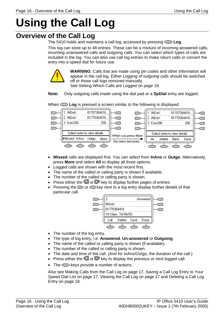# <span id="page-15-0"></span>**Using the Call Log**

# <span id="page-15-1"></span>**Overview of the Call Log**

The 5410 holds and maintains a call log, accessed by pressing **Log**.

This log can store up to 48 entries. These can be a mixture of incoming answered calls, incoming unanswered calls and outgoing calls. You can select which types of calls are included in the log. You can also use call log entries to make return calls or convert the entry into a speed dial for future use.



**WARNING**: Calls that are made using pin codes and other information will appear in the call log. Either Logging of outgoing calls should be switched off or those call logs removed manually. See [Setting Which Calls are Logged](#page-17-2) on page [18.](#page-17-2)

**Note:** Only outgoing calls made using the dial pad or a **SpDial** entry are logged.

1 INDeX  $\overline{\phantom{a}}$ 01707364416. **INDeX** 01707364416. 2 INDeX 01770364416. 2 INDeX 01770364416. 3 Extri208 208. 3 Extn208 208. C ⌒ ┌ Select entry to view details Select entry to view details When you press More **Missed InAns** Outdo More  $\Delta$ II Delete **Back** Done the menu becomes:

When  $\sum$  **Log** is pressed a screen similar to the following is displayed:

- **Missed** calls are displayed first. You can select from **InAns** or **Outgo**. Alternatively, press **More** and select **All** to display all three options.
- Logged calls are shown with the most recent first.
- The name of the called or calling party is shown if available.
- The number of the called or calling party is shown.
- Press either the  $\blacksquare$  or  $\blacksquare$  key to display further pages of entries.
- Pressing the  $\Box$  or  $\Box$  key next to a log entry display further details of that particular call.



- The number of the log entry.
- The type of log entry, i.e. **Answered**, **Un-answered** or **Outgoing**.
- The name of the called or calling party is shown (if available).
- The number of the called or calling party is shown.
- The date and time of the call. (And for InAns/Outgo, the duration of the call.)
- Press either the  $\blacksquare$  or  $\blacksquare$  key to display the previous or next logged call.
- The  $\sum$  keys provide a number of actions.

Also see [Making Calls from the Call Log](#page-16-2) on page [17,](#page-16-2) [Saving a Call Log Entry to Your](#page-16-3)  [Speed Dial List](#page-16-3) on page [17,](#page-16-3) [Viewing the Call Log](#page-16-1) on page [17](#page-16-1) and [Deleting a Call Log](#page-17-0)  [Entry](#page-17-0) on page [18.](#page-17-0)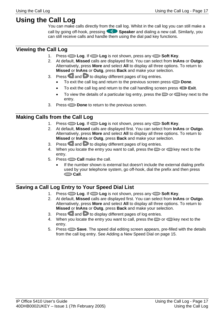# <span id="page-16-0"></span>**Using the Call Log**

You can make calls directly from the call log. Whilst in the call log you can still make a call by going off-hook, pressing **Speaker** and dialing a new call. Similarly, you can still receive calls and handle them using the dial pad key functions.

## <span id="page-16-1"></span>**Viewing the Call Log**

- 1. Press **Log**. If **Log** is not shown, press any **Soft Key**.
- 2. At default, **Missed** calls are displayed first. You can select from **InAns** or **Outgo**. Alternatively, press **More** and select **All** to display all three options. To return to **Missed** or **InAns** or **Outg**, press **Back** and make your selection.
- 3. Press and  $\triangleright$  to display different pages of log entries.
	- To exit the call log and return to the previous screen press **Done**.
	- To exit the call log and return to the call handling screen press **Exit.**
	- To view the details of a particular log entry, press the  $\Box$  or  $\Box$  key next to the entry.
- 3. Press **Done** to return to the previous screen.

## <span id="page-16-2"></span>**Making Calls from the Call Log**

- 1. Press **Log**. If **Log** is not shown, press any **Soft Key**.
- 2. At default, **Missed** calls are displayed first. You can select from **InAns** or **Outgo**. Alternatively, press **More** and select **All** to display all three options. To return to **Missed** or **InAns** or **Outg**, press **Back** and make your selection.
- 3. Press  $\blacksquare$  and  $\blacksquare$  to display different pages of log entries.
- 4. When you locate the entry you want to call, press the  $\Box$  or  $\Box$  key next to the entry.
- 5. Press **Call** make the call.
	- If the number shown is external but doesn't include the external dialing prefix used by your telephone system, go off-hook, dial the prefix and then press **Call**.

## <span id="page-16-3"></span>**Saving a Call Log Entry to Your Speed Dial List**

- 1. Press **Log**. If **Log** is not shown, press any **Soft Key**.
- 2. At default, **Missed** calls are displayed first. You can select from **InAns** or **Outgo**. Alternatively, press **More** and select **All** to display all three options. To return to **Missed** or **InAns** or **Outg**, press **Back** and make your selection.
- 3. Press and  $\triangleright$  to display different pages of log entries.
- 4. When you locate the entry you want to call, press the  $\Box$  or  $\Box$  key next to the entry.
- 5. Press **Save**. The speed dial editing screen appears, pre-filled with the details from the call log entry. See [Adding a New Speed Dial](#page-14-0) on page [15.](#page-14-0)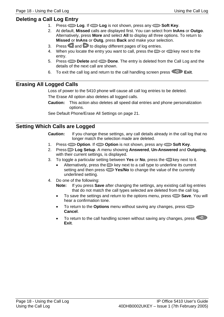## <span id="page-17-0"></span>**Deleting a Call Log Entry**

- 1. Press **Log**. If **Log** is not shown, press any **Soft Key**.
- 2. At default, **Missed** calls are displayed first. You can select from **InAns** or **Outgo**. Alternatively, press **More** and select **All** to display all three options. To return to **Missed** or **InAns** or **Outg**, press **Back** and make your selection.
- 3. Press and  $\triangleright$  to display different pages of log entries.
- 4. When you locate the entry you want to call, press the  $\Box$  or  $\Box$  key next to the entry.
- 5. Press **Delete** and **Done**. The entry is deleted from the Call Log and the details of the next call are shown.
- 6. To exit the call log and return to the call handling screen press  $\overline{f}$  **Exit.**

### <span id="page-17-1"></span>**Erasing All Logged Calls**

Loss of power to the 5410 phone will cause all call log entries to be deleted.

The Erase All option also deletes all logged calls.

**Caution:** This action also deletes all speed dial entries and phone personalization options.

See [Default Phone/Erase All Settings](#page-20-2) on page [21.](#page-20-2)

## <span id="page-17-2"></span>**Setting Which Calls are Logged**

**Caution:** If you change these settings, any call details already in the call log that no longer match the selection made are deleted.

- 1. Press **Option**. If **Option** is not shown, press any **Soft Key**.
- 2. Press **Log Setup**. A menu showing **Answered**, **Un-Answered** and **Outgoing**, with their current settings, is displayed.
- 3. To toggle a particular setting between **Yes** or **No**, press the key next to it.
	- Alternatively, press the  $\Box$  key next to a call type to underline its current setting and then press  $\sum$  **Yes/No** to change the value of the currently underlined setting.
- 4. Do one of the following:
	- **Note:** If you press **Save** after changing the settings, any existing call log entries that do not match the call types selected are deleted from the call log.
	- To save the settings and return to the options menu, press  $\sim$  **Save**. You will hear a confirmation tone.
	- To return to the **Options** menu without saving any changes, press **Cancel**.
	- To return to the call handling screen without saving any changes, press  $\Box$ **Exit**.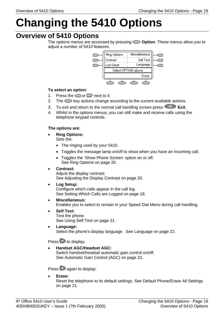# <span id="page-18-0"></span>**Changing the 5410 Options**

## <span id="page-18-1"></span>**Overview of 5410 Options**

The options menus are accessed by pressing **Option**. These menus allow you to adjust a number of 5410 features.



#### **To select an option:**

- 1. Press the  $\Box$  or  $\Box$  next to it
- 2. The  $\implies$  key actions change according to the current available actions.
- 3. To exit and return to the normal call handling screen press **EXIT**
- 4. Whilst in the options menus, you can still make and receive calls using the telephone keypad controls.

#### **The options are:**

- **Ring Options:**  Sets the:
	- The ringing used by your 5410.
	- Toggles the message lamp on/off to show when you have an incoming call.
	- Toggles the 'Show Phone Screen' option on or off. See [Ring Options](#page-19-1) on page [20.](#page-19-1)

#### • **Contrast:**

Adjust the display contrast. See [Adjusting the Display Contrast](#page-19-2) on page [20.](#page-19-1)

- **Log Setup:**  Configure which calls appear in the call log. See [Setting Which Calls are Logged](#page-17-2) on page [18.](#page-17-2)
- **Miscellaneous:**

Enables you to select to remain in your Speed Dial Menu during call handling.

- **Self Test:**  Test the phone. See [Using Self Test](#page-20-1) on page [21.](#page-20-1)
- **Language:**  Select the phone's display language. See [Language](#page-21-0) on page [22.](#page-21-0)

Press  $\triangleright$  to display:

• **Handset AGC/Headset AGC:**  Switch handset/headset automatic gain control on/off. See [Automatic Gain Control \(AGC\)](#page-21-2) on page [22.](#page-21-2)

Press  $\triangleright$  again to display:

• **Erase:** 

Reset the telephone to its default settings. See [Default Phone/Erase All Settings](#page-20-2)  on page [21.](#page-20-2)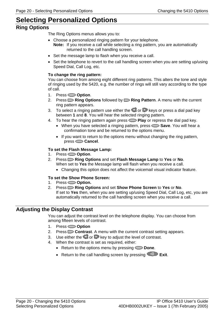# <span id="page-19-0"></span>**Selecting Personalized Options**

## <span id="page-19-1"></span>**Ring Options**

The Ring Options menus allows you to:

- Choose a personalized ringing pattern for your telephone. **Note:** If you receive a call while selecting a ring pattern, you are automatically returned to the call handling screen.
- Set the message lamp to flash when you receive a call.
- Set the telephone to revert to the call handling screen when you are setting up/using Speed Dial, Call Log, etc.

#### **To change the ring pattern:**

You can choose from among eight different ring patterns. This alters the tone and style of ringing used by the 5420, e.g. the number of rings will still vary according to the type of call.

- 1. Press **Option**.
- 2. Press **Ring Options** followed by **Ring Pattern**. A menu with the current ring pattern appears.
- 3. To select a ringing pattern use either the  $\blacksquare$  or  $\blacksquare$  keys or press a dial pad key between **1** and **8**. You will hear the selected ringing pattern.
- 4. To hear the ringing pattern again press **Play** or repress the dial pad key.
	- When you have selected a ringing pattern, press Save. You will hear a confirmation tone and be returned to the options menu.
	- If you want to return to the options menu without changing the ring pattern, press **Cancel**.

#### **To set the Flash Message Lamp:**

- 1. Press **Option**.
- 2. Press **Ring Options** and set **Flash Message Lamp** to **Yes** or **No**. When set to **Yes** the Message lamp will flash when you receive a call.
	- Changing this option does not affect the voicemail visual indicator feature.

#### **To set the Show Phone Screen:**

- 1. Press **Option.**
- 2. Press **Ring Options** and set **Show Phone Screen** to **Yes** or **No**. If set to **Yes** then, when you are setting up/using Speed Dial, Call Log, etc, you are automatically returned to the call handling screen when you receive a call.

### <span id="page-19-2"></span>**Adjusting the Display Contrast**

You can adjust the contrast level on the telephone display. You can choose from among fifteen levels of contrast.

- 1. Press **Option**
- 2. Press **Contrast**. A menu with the current contrast setting appears.
- 3. Use either the  $\blacksquare$  or  $\blacksquare$  key to adjust the level of contrast.
- 4. When the contrast is set as required, either:
	- Return to the options menu by pressing **Done**.
	- Return to the call handling screen by pressing **FU** Exit.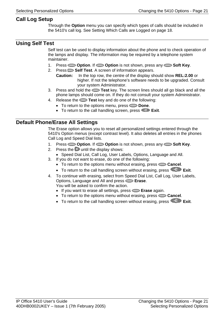## <span id="page-20-0"></span>**Call Log Setup**

Through the **Option** menu you can specify which types of calls should be included in the 5410's call log. See [Setting Which Calls are Logged](#page-17-2) on page [18.](#page-17-2)

## <span id="page-20-1"></span>**Using Self Test**

Self test can be used to display information about the phone and to check operation of the lamps and display. The information may be required by a telephone system maintainer.

- 1. Press **Option**. If **Option** is not shown, press any **Soft Key**.
- 2. Press  $\Box$  **Self Test**. A screen of information appears.
	- **Caution:** In the top row, the centre of the display should show **REL:2.00** or higher. If not the telephone's software needs to be upgraded. Consult your system Administrator.
- 3. Press and hold the **Test** key. The screen lines should all go black and all the phone lamps should come on. If they do not consult your system Administrator.
- 4. Release the **Test** key and do one of the following:
	- To return to the options menu, press **Done**.
	- To return to the call handling screen, press **Exit.**

## <span id="page-20-2"></span>**Default Phone/Erase All Settings**

The Erase option allows you to reset all personalized settings entered through the 5410's Option menus (except contrast level). It also deletes all entries in the phones Call Log and Speed Dial lists.

- 1. Press **Option**. If **Option** is not shown, press any **Soft Key**.
- 2. Press the until the display shows:
	- Speed Dial List, Call Log, User Labels, Options, Language and All.
- 3. If you do not want to erase, do one of the following:
	- To return to the options menu without erasing, press **Cancel**.
	- To return to the call handling screen without erasing, press **FI** Exit.
- 4. To continue with erasing, select from Speed Dial List, Call Log, User Labels, Options, Language and All and press **Erase**.

You will be asked to confirm the action.

- If you want to erase all settings, press **Erase** again.
- To return to the options menu without erasing, press **Cancel**.
- To return to the call handling screen without erasing, press  $\rightarrow \mathbb{R}$  Exit.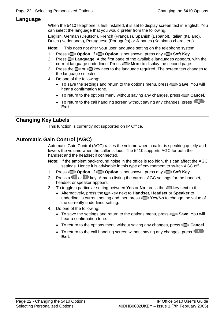#### <span id="page-21-0"></span>**Language**

When the 5410 telephone is first installed, it is set to display screen text in English. You can select the language that you would prefer from the following:

English, German (Deutsch), French (Français), Spanish (Español), Italian (Italiano), Dutch (Nederlands), Portuguese (Português) or Japanes (Katakana characters).

**Note:** This does not alter your user language setting on the telephone system.

- 1. Press **Option**. If **Option** is not shown, press any **Soft Key**.
- 2. Press **Language**. A the first page of the available languages appears, with the current language underlined. Press **Nore** to display the second page.
- 3. Press the  $\Box$  or  $\Box$  key next to the language required. The screen text changes to the language selected.
- 4. Do one of the following:
	- To save the settings and return to the options menu, press **Save**. You will hear a confirmation tone.
	- To return to the options menu without saving any changes, press **Cancel**.
	- To return to the call handling screen without saving any changes, press  $\bigcirc$ **Exit**.

## <span id="page-21-1"></span>**Changing Key Labels**

This function is currently not supported on IP Office.

## <span id="page-21-2"></span>**Automatic Gain Control (AGC)**

Automatic Gain Control (AGC) raises the volume when a caller is speaking quietly and lowers the volume when the caller is loud. The 5410 supports AGC for both the handset and the headset if connected.

- **Note:** If the ambient background noise in the office is too high, this can affect the AGC settings. Hence it is advisable in this type of environment to switch AGC off.
- 1. Press **Option**. If **Option** is not shown, press any **Soft Key**.
- 2. Press a  $\bigcirc$  or  $\bigcirc$  key. A menu listing the current AGC settings for the handset, headset or speaker appears.
- 3. To toggle a particular setting between **Yes** or **No**, press the key next to it.
	- Alternatively, press the key next to **Handset**, **Headset** or **Speaker** to underline its current setting and then press **Yes/No** to change the value of the currently underlined setting.
- 4. Do one of the following:
	- To save the settings and return to the options menu, press **Save**. You will hear a confirmation tone.
	- To return to the options menu without saving any changes, press **Cancel**.
	- To return to the call handling screen without saving any changes, press  $\bigcirc$ **Exit**.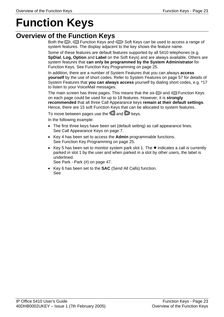# <span id="page-22-0"></span>**Function Keys**

## <span id="page-22-1"></span>**Overview of the Function Keys**

Both the  $\Box$ ,  $\Box$  Function Keys and  $\Box$  Soft Keys can be used to access a range of system features. The display adjacent to the key shows the feature name.

Some of these features are default features supported by all 5410 telephones (e.g. **SpDial**, **Log, Option** and **Label** on the Soft Keys) and are always available. Others are system features that **can only be programmed by the System Administrator** for Function Keys. See [Function Key Programming](#page-24-0) on page [25.](#page-24-0)

In addition, there are a number of System Features that you can always **access yourself** by the use of short codes. Refer to [System Features](#page-56-0) on page [57](#page-56-0) for details of System Features that **you can always access** yourself by dialing short codes, e.g. \*17 to listen to your VoiceMail messages.

The main screen has three pages. This means that the six  $\Box$  and  $\Box$  Function Keys on each page could be used for up to 18 features. However, it is **strongly recommended** that all three Call Appearance keys **remain at their default settings**. Hence, there are 15 soft Function Keys that can be allocated to system features.

To move between pages use the  $\Box$  and  $\Box$  keys.

In the following example:

- The first three keys have been set (default setting) as call appearance lines. See [Call Appearance Keys](#page-6-0) on page [7.](#page-6-0)
- Key 4 has been set to access the **Admin** programmable functions. See [Function Key Programming](#page-24-0) on page [25.](#page-24-0)
- Key 5 has been set to monitor system park slot 1. The  $\bullet$  indicates a call is currently parked in slot 1 by the user and when parked in a slot by other users, the label is underlined.

See [Park - Park \(#\)](#page-46-0) on page [47.](#page-46-0)

• Key 6 has been set to the **SAC** (Send All Calls) function. See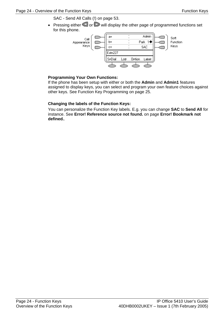[SAC - Send All Calls \(!\)](#page-52-4) on page [53.](#page-52-4)

• Pressing either  $\blacksquare$  or  $\blacksquare$  will display the other page of programmed functions set for this phone.



#### **Programming Your Own Functions:**

If the phone has been setup with either or both the **Admin** and **Admin1** features assigned to display keys, you can select and program your own feature choices against other keys. See [Function Key Programming](#page-24-0) on page [25.](#page-24-0)

#### **Changing the labels of the Function Keys:**

You can personalize the Function Key labels. E.g. you can change **SAC** to **Send All** for instance. See **[Error! Reference source not found.](#page-27-0)** on page **[Error! Bookmark not](#page-27-0)  [defined.](#page-27-0)**.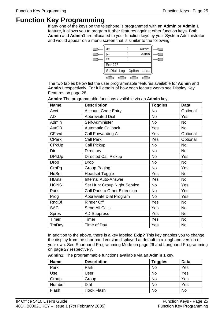# <span id="page-24-0"></span>**Function Key Programming**

If any one of the keys on the telephone is programmed with an **Admin** or **Admin 1** feature, it allows you to program further features against other function keys. Both **Admin** and **Admin1** are allocated to your function keys by your System Administrator and would appear on a menu screen that is similar to the following:



The two tables below list the user programmable features available for **Admin** and **Admin1** respectively. For full details of how each feature works see [Display Key](#page-27-0)  [Features](#page-27-0) on page [28.](#page-27-0)

| <b>Name</b>  | <b>Description</b>           | <b>Toggles</b> | <b>Data</b> |
|--------------|------------------------------|----------------|-------------|
| Acct         | <b>Account Code Entry</b>    | No             | Optional    |
| AD           | <b>Abbreviated Dial</b>      | <b>No</b>      | Yes         |
| Admin        | Self-Administer              | <b>No</b>      | <b>No</b>   |
| <b>AutCB</b> | <b>Automatic Callback</b>    | Yes            | <b>No</b>   |
| CFrwd        | <b>Call Forwarding All</b>   | Yes            | Optional    |
| <b>CPark</b> | <b>Call Park</b>             | Yes            | Optional    |
| <b>CPkUp</b> | Call Pickup                  | <b>No</b>      | <b>No</b>   |
| Dir          | <b>Directory</b>             | <b>No</b>      | <b>No</b>   |
| <b>DPkUp</b> | Directed Call Pickup         | <b>No</b>      | <b>Yes</b>  |
| Drop         | Drop                         | <b>No</b>      | <b>No</b>   |
| GrpPg        | Group Paging                 | No             | Yes         |
| <b>HdSet</b> | <b>Headset Toggle</b>        | Yes            | <b>No</b>   |
| <b>HfAns</b> | <b>Internal Auto-Answer</b>  | Yes            | <b>No</b>   |
| HGNS+        | Set Hunt Group Night Service | <b>No</b>      | Yes         |
| Park         | Call Park to Other Extension | No             | Yes         |
| Prog         | Abbreviate Dial Program      | <b>No</b>      | Yes         |
| RngOf        | <b>Ringer Off</b>            | Yes            | <b>No</b>   |
| <b>SAC</b>   | Send All Calls               | Yes            | No          |
| <b>Spres</b> | <b>AD Suppress</b>           | Yes            | <b>No</b>   |
| Timer        | Timer                        | Yes            | No          |
| TmDay        | Time of Day                  | Yes            | No          |

**Admin:** The programmable functions available via an **Admin** key.

In addition to the above, there is a key labeled **Exlp?** This key enables you to change the display from the shorthand version displayed at default to a longhand version of your own. See [Shorthand Programming Mode](#page-25-0) on page [26](#page-25-0) and [Longhand Programming](#page-26-0)  on page [27](#page-26-0) respectively.

**Admin1:** The programmable functions available via an **Admin 1** key.

| <b>Name</b> | <b>Description</b> | <b>Toggles</b> | <b>Data</b> |
|-------------|--------------------|----------------|-------------|
| Park        | Park               | <b>No</b>      | Yes         |
| Use         | Jser               | <b>No</b>      | Yes         |
| Group       | Group              | <b>No</b>      | Yes         |
| Number      | Dial               | <b>No</b>      | Yes         |
| Flash       | Hook Flash         | <b>No</b>      | No          |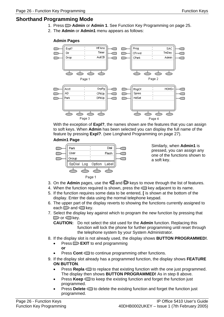## <span id="page-25-0"></span>**Shorthand Programming Mode**

- 1. Press **Admin** or **Admin 1**. See [Function Key Programming](#page-24-0) on page [25.](#page-24-0)
- 2. The **Admin** or **Admin1** menu appears as follows:

#### **Admin Pages**



With the exception of **Expl?**, the names shown are the features that you can assign to soft keys. When **Admin** has been selected you can display the full name of the feature by pressing **Expl?**. (see [Longhand Programming](#page-26-0) on page [27\)](#page-26-0).

#### **Admin1 Page**



Similarly, when **Admin1** is pressed, you can assign any one of the functions shown to a soft key.

- 3. On the **Admin** pages, use the **and** keys to move through the list of features.
- 4. When the function required is shown, press the  $\Box$  key adjacent to its name.
- 5. If the function requires some data to be entered, **[** is shown at the bottom of the display. Enter the data using the normal telephone keypad.
- 6. The upper part of the display reverts to showing the functions currently assigned to each  $\Box$  and  $\Box$  key.
- 7. Select the display key against which to program the new function by pressing that  $\Box$  or  $\Box$  key.

**CAUTION:** Do not select the slot used for the **Admin** function. Replacing this function will lock the phone for further programming until reset through the telephone system by your System Administrator.

- 8. If the display slot is not already used, the display shows **BUTTON PROGRAMMED!**.
	- Press **EXIT** to end programming **or**
	- Press **Cont**  $\Box$  to continue programming other functions.
- 9. If the display slot already has a programmed function, the display shows **FEATURE ON BUTTON**.
	- Press **Repla**  $\Box$  to replace that existing function with the one just programmed. The display then shows **BUTTON PROGRAMMED!** As in step 8 above.
	- **Press Keep**  $\Box$  to keep the existing function and forget the function just programmed.
	- **Press Delete**  $\Box$  to delete the existing function and forget the function just programmed.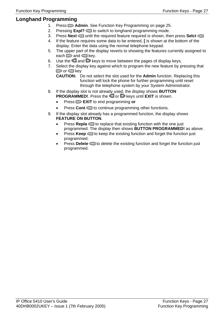## <span id="page-26-0"></span>**Longhand Programming**

- 1. Press **D** Admin. See [Function Key Programming](#page-24-0) on page [25.](#page-24-0)
- 2. Pressing **Expl?** to switch to longhand programming mode.
- 3. Press **Next**  $\Box$  until the required feature required is shown, then press **Selct**  $\Box$ .
- 4. If the feature requires some data to be entered, **[** is shown at the bottom of the display. Enter the data using the normal telephone keypad.
- 5. The upper part of the display reverts to showing the features currently assigned to each  $\Rightarrow$  and  $\Rightarrow$  key.
- 6. Use the  $\Box$  and  $\Box$  keys to move between the pages of display keys.
- 7. Select the display key against which to program the new feature by pressing that  $\Box$  or  $\Box$  key
	- **CAUTION:** Do not select the slot used for the **Admin** function. Replacing this function will lock the phone for further programming until reset through the telephone system by your System Administrator.
- 8. If the display slot is not already used, the display shows **BUTTON PROGRAMMED!**. Press the or keys until **EXIT** is shown.
	- Press **EXIT** to end programming **or**
	- Press **Cont**  $\Box$  to continue programming other functions.
- 9. If the display slot already has a programmed function, the display shows **FEATURE ON BUTTON**.
	- Press **Repla**  $\Box$  to replace that existing function with the one just programmed. The display then shows **BUTTON PROGRAMMED!** as above.
	- Press **Keep**  $\Box$  to keep the existing function and forget the function just programmed.
	- **Press Delete**  $\Box$  to delete the existing function and forget the function just programmed.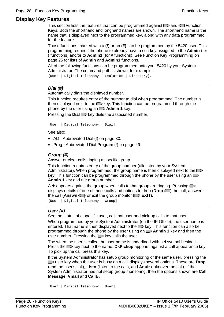#### <span id="page-27-0"></span>**Display Key Features**

This section lists the features that can be programmed against  $\Box$  and  $\Box$  Function Keys. Both the shorthand and longhand names are shown. The shorthand name is the name that is displayed next to the programmed key, along with any data programmed for the feature.

Those functions marked with a **(!)** or an **(#)** can be programmed by the 5420 user. This programming requires the phone to already have a soft key assigned to the **Admin** (for **!** functions) and/or to **Admin1** (for **#** functions). See [Function Key Programming](#page-24-0) on page [25](#page-24-0) for lists of **Admin** and **Admin1** functions.

All of the following functions can be programmed onto your 5420 by your System Administrator. The command path is shown, for example:

[User | Digital Telephony | Emulation | Directory].

#### <span id="page-27-1"></span>**Dial (#)**

Automatically dials the displayed number.

This function requires entry of the number to dial when programmed. The number is then displayed next to the  $\Box$  key. This function can be programmed through the phone by the user using an  $\Box$  **Admin 1** key.

Pressing the **Dial**  $\Box$  key dials the associated number.

[User | Digital Telephony | Dial]

See also:

- [AD Abbreviated Dial \(!\)](#page-29-2) on page [30.](#page-29-2)
- [Prog Abbreviated Dial Program \(!\)](#page-48-0) on page [49.](#page-48-0)

#### <span id="page-27-2"></span>**Group (#)**

Answer or clear calls ringing a specific group.

This function requires entry of the group number (allocated by your System Administrator). When programmed, the group name is then displayed next to the key. This function can be programmed through the phone by the user using an  $\Box$ **Admin 1** key and the group number.

A  $\bullet$  appears against the group when calls to that group are ringing. Pressing  $\Box$ displays details of one of those calls and options to drop (**Drop** ) the call, answer the call (**Answn**  $\Box$ ) or exit the group monitor ( $\Box$  **EXIT**).

[User | Digital Telephony | Group]

#### **User (#)**

<span id="page-27-3"></span>See the status of a specific user, call that user and pick-up calls to that user.

When programmed by your System Administrator (on the IP Office), the user name is entered. That name is then displayed next to the  $\Box$  key. This function can also be programmed through the phone by the user using an  $\Box$  **Admin 1** key and then the user number. Pressing the  $\Box$  key calls the user.

The when the user is called the user name is underlined with a  $\blacktriangleleft$  symbol beside it. Press the **EXA** key next to the name. **DkPickup** appears against a call appearance key. To pick up the call press this key.

If the System Administrator has setup group monitoring of the same user, pressing the user key when the user is busy on a call displays several options. These are **Drop** (end the user's call), **Listn** (listen to the call), and **Aquir** (takeover the call). If the System Administrator has not setup group monitoring, then the options shown are **Call, Message**, **Vmail** and **CallB.**

```
[User | Digital Telephony | User]
```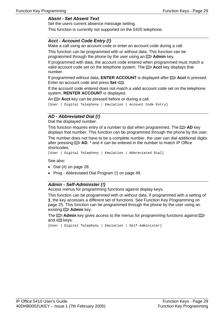#### **Absnt - Set Absent Text**

Set the users current absence message setting.

This function is currently not supported on the 5420 telephone.

#### **Acct - Account Code Entry (!)**

Make a call using an account code or enter an account code during a call.

This function can be programmed with or without data. This function can be programmed through the phone by the user using an  $\Box$  **Admin** key.

If programmed with data, the account code entered when programmed must match a valid account code set on the telephone system. The **Acct** key displays that number.

If programmed without data, **ENTER ACCOUNT** is displayed after **Acct** is pressed. Enter an account code and press **Set**  $\Box$ .

If the account code entered does not match a valid account code set on the telephone system, **RENTER ACCOUNT** is displayed.

An  $\Box$  **Acct** key can be pressed before or during a call.

[User | Digital Telephony | Emulation | Account Code Entry]

#### **AD - Abbreviated Dial (!)**

Dial the displayed number.

This function requires entry of a number to dial when programmed. The **AD** key displays that number. This function can be programmed through the phone by the user.

The number does not have to be a complete number, the user can dial additional digits after pressing **AD**. \* and # can be entered in the number to match IP Office shortcodes.

[User | Digital Telephony | Emulation | Abbreviated Dial]

See also:

- $\bullet$  Dial (#) on page 28.
- Prog Abbreviated Dial Program (!) on page 49.

#### **Admin - Self-Administer (!)**

Access menus for programming functions against display keys.

This function can be programmed with or without data. If programmed with a setting of **1**, the key accesses a different set of functions. See Function Key Programming on page 25. This function can be programmed through the phone by the user using an existing  $\Box$  **Admin** key.

The  $\Box$  **Admin** key gives access to the menus for programming functions against  $\Box$ and  $\Box$  keys.

```
[User | Digital Telephony | Emulation | Self-Administer]
```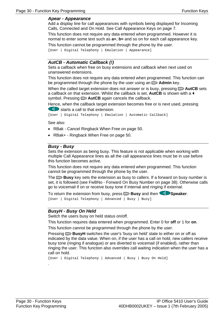#### <span id="page-29-0"></span>**Apear - Appearance**

Add a display line for call appearances with symbols being displayed for Incoming Calls, Connected and On Hold. See Call Appearance Keys on page 7.

This function does not require any data entered when programmed. However it is normal to enter some text such as **a=**, **b=** and so on for each call appearance key.

<span id="page-29-1"></span>This function cannot be programmed through the phone by the user.

[User | Digital Telephony | Emulation | Appearance]

#### **AutCB - Automatic Callback (!)**

Sets a callback when free on busy extensions and callback when next used on unanswered extensions.

This function does not require any data entered when programmed. This function can be programmed through the phone by the user using an  $\Box$  **Admin** key.

When the called target extension does not answer or is busy, pressing  $\Box$  **AutCB** sets a callback on that extension. Whilst the callback is set, AutCB is shown with a 4 symbol. Pressing  $\Box$  **AutCB** again cancels the callback.

Hence, when the callback target extension becomes free or is next used, pressing starts a call to that extension.

[User | Digital Telephony | Emulation | Automatic Callback]

<span id="page-29-2"></span>See also:

- RBak Cancel Ringback When Free on page 50.
- RBak+ Ringback When Free on page 50.

#### **Busy - Busy**

Sets the extension as being busy. This feature is not applicable when working with multiple Call Appearance lines as all the call appearance lines must be in use before this function becomes active.

This function does not require any data entered when programmed. This function ca[nnot be p](#page-27-1)rogrammed through the phone by the user.

The **Busy** key [sets](#page-27-1) the extension as busy to callers. If a forward on busy number is se[t, it is followed \(see FwBNo - Forward](#page-48-0) On Bu[sy N](#page-48-0)umber on page 38). Otherwise calls go to voicemail if on or receive busy tone if internal and ringing if external.

<span id="page-29-3"></span>To return the extension from busy, press **Busy** and then **Speaker**. [User | Digital Telephony | Advanced | Busy | Busy]

#### **BusyH - Busy On Held**

Switc[h th](#page-24-0)e users busy on held status on/off.

This function requires data entered when programmed. Enter 0 for **off** or 1 for **on**.

This function cannot be programmed through the phone by the user.

Pressing **BusyH** switches the user's 'busy on held' state to either on or off as indicated by the data value. When on, if the user has a call on hold, new callers receive busy tone (ringing if analogue) or are diverted to voicemail (if enabled), rather than ringing the user. This function also overrides call waiting indication when the user has a call on hold.

[User | Digital Telephony | Advanced | Busy | Busy On Held]

.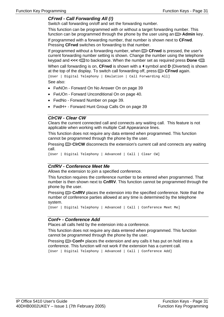#### <span id="page-30-0"></span>**CFrwd - Call Forwarding All (!)**

Switch call forwarding on/off and set the forwarding number.

This function can be programmed with or without a target forwarding number. This function c[an be programmed throu](#page-6-0)gh the [ph](#page-6-0)one by the user using an  $\Box$  **Admin** key. If programmed with a forwarding number, that number is shown next to **CFrwd**. Pressing **CFrwd** switches on forwarding to that number.

<span id="page-30-1"></span>If programmed without a forwarding number, when **CFrwd** is pressed, the user's current forwarding number setting is shown. Change the number using the telephone keypad and <<<<  $\blacksquare$  to backspace. When the number set as required press **Done**  $\blacksquare$ . When call forwarding is on, **CFrwd** is shown with a **4** symbol and **D** (Diverted) is shown at the top of the display. To switch call forwarding off, press **CFrwd** again. [User | Digital Telephony | Emulation | Call Forwarding All] See also:

- FwNOn Forward On No Answer On on page 39
- FwUOn Forward Unconditional On on page 40.
- FwdNo Forward Number on page 39.
- FwdH + Forward Hunt Group Calls On on page 39

#### **ClrCW - Clear CW**

Clears the current connected call and connects any waiting call. This feature is not applicable when working with multiple Call Appearance lines.

Th[is function does not require any data](#page-49-1) entered [whe](#page-49-1)n programmed. This function ca[nnot be programmed through th](#page-49-0)e phon[e by](#page-49-0) the user.

Pressing **CIrCW** disconnects the extension's current call and connects any waiting call.

<span id="page-30-2"></span>[User | Digital Telephony | Advanced | Call | Clear CW]

#### **CnfRV - Conference Meet Me**

Allows the extension to join a specified conference.

This function requires the conference number to be entered when programmed. That number is then shown next to **CnfRV**. This function cannot be programmed through the phone by the user.

Pressing **CnfRV** places the extension into the specified conference. Note that the number of conference parties allowed at any time is determined by the telephone system.

[User | Digital Telephony | Advanced | Call | Conference Meet Me]

#### <span id="page-30-3"></span>**Conf+ - Conference Add**

Places all calls held by the extension into a conference.

This function does not require any data entered when programmed. This function cannot be programmed through the phone by the user.

Pressing **Conf+** places the extension and any calls it has put on hold into a conference. This function will not work if the extension has a current call.

[User | Digital Telephony | Advanced | Call | Conference Add]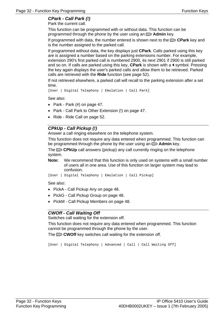## <span id="page-31-0"></span>**CPark - Call Park (!)**

Park the current call.

This function can be programmed with or without data. This function can be programmed through the phone by the user using an  $\Box$  **Admin** key.

If programmed with data, the number entered is shown next to the **CPark** key and is the number assigned to the parked call.

If programmed without data, the key displays just **CPark**. Calls parked using this key are is assigned a number based on the parking extensions number. For example, extension 290's first parked call is numbered 2900, its next 2901 if 2900 is still parked and so on. If calls are parked using this key, **CPark** is shown with a **I** symbol. Pressing the key again displays the user's parked calls and allow them to be retrieved. Parked calls are retrieved with the **Ride** function (see page 52).

If not retrieved elsewhere, a parked call will recall to the parking extension after a set time.

[U[ser | Digital Telephony | Emulation](#page-38-4) | Call [Pa](#page-38-4)rk]

Se[e also:](#page-39-1) 

- [Park Park \(#\) on page 47](#page-38-2).
- [Park Call Park to Other Extension \(!\) o](#page-38-0)n page [47.](#page-38-0)
- <span id="page-31-1"></span>• Ride - Ride Call on page 52.

#### **CPkUp - Call Pickup (!)**

Answer a call ringing elsewhere on the telephone system.

This function does not require any data entered when programmed. This function can be programmed through the phone by the user using an  $\Box$  **Admin** key.

The **CPkUp** call answers (pickup) any call currently ringing on the telephone system.

**Note:** We recommend that this function is only used on systems with a small number of users all in one area. Use of this function on larger system may lead to confusion.

<span id="page-31-2"></span>[User | Digital Telephony | Emulation | Call Pickup]

See also:

- PickA Call Pickup Any on page 48.
- PickG Call Pickup Group on page 48.
- PickM Call Pickup Members on page 48.

#### **CWOff - Call Waiting Off**

Switches call waiting for the extension off.

This function does not require any data entered when programmed. This function cannot be programmed through the phone by the user.

<span id="page-31-3"></span>The **CWOff** key switches call waiting for the extension off.

[User | Digital Telephony | Advanced | Call | Call Waiting Off]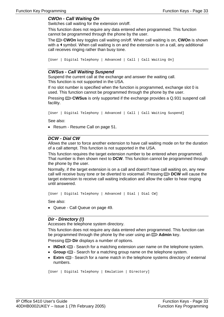#### <span id="page-32-0"></span>**CWOn - Call Waiting On**

Switches call waiting for the extension on/off.

This function does not require any data entered when programmed. This function cannot be programmed through the phone by the user.

The **CWOn** key toggles call waiting on/off. When call waiting is on, **CWOn** is shown with a  $\triangleleft$  symbol. When call waiting is on and the extension is on a call, any additional call receives ringing rather than busy tone.

```
[User | Digital Telephony | Advanced | Call | Call Waiting On]
```
#### **CWSus - Call Waiting Suspend**

Suspend the current call at the exchange and answ[er t](#page-51-1)he waiting call. This function is not supported in the USA.

If no slot number is specified when the function is programmed, exchange slot 0 is used. This function cannot be programmed through the phone by the user.

Pressing **CWSus** is only supported if the exchange provides a Q.931 suspend call fa[cility.](#page-46-0) 

```
[User | Digital Telephony | Advanced | Call | Call Waiting Suspend]
```
See also:

<span id="page-32-1"></span>• Resum - Resume Call on page 51.

#### **DCW - Dial CW**

Allows the user to force another extension to have call waiting mode on for the duration of a call attempt. This function is not supported in the USA.

This function requires the target extension number to be entered when programmed. That number is then shown next to **DCW**. This function cannot be programmed through the phone by the user.

Normally, if the target extension is on a call and doesn't have call waiting on, any new call will receive busy tone or be diverted to voicemail. Pressing **DCW** will cause the target extension to receive call waiting indication and allow the caller to hear ringing until answered.

```
[User | Digital Telephony | Advanced | Dial | Dial CW]
```
Se[e also:](#page-47-3) 

• [Queue - Call Queue on page 4](#page-47-4)9.

#### <span id="page-32-2"></span>**Dir - Directory (!)**

Accesses the telephone system directory.

This function does not require any data entered when programmed. This function can be programmed through the phone by the user using an  $\Box$  **Admin** key.

Pressing **Dir** displays a number of options.

- **INDeX**  $\blacksquare$  Search for a matching extension user name on the telephone system.
- **Group**  $\blacksquare$  Search for a matching group name on the telephone system.
- **Extrn**  $\Box$  Search for a name match in the telephone systems directory of external numbers.

```
[User | Digital Telephony | Emulation | Directory]
```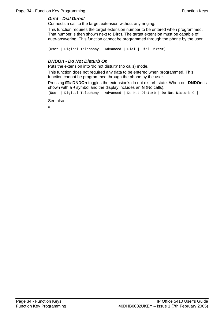#### <span id="page-33-0"></span>**Dirct - Dial Direct**

Connects a call to the target extension without any ringing.

This function requires the target extension number to be entered when programmed. That number is then shown next to **Dirct**. The target extension must be capable of auto-answering. This function cannot be programmed through the phone by the user.

```
[User | Digital Telephony | Advanced | Dial | Dial Direct]
```
#### **DNDOn - Do Not Disturb On**

Puts the extension into 'do not disturb' (no calls) mode.

<span id="page-33-1"></span>This function does not required any data to be entered when programmed. This function cannot be programmed through the phone by the user.

Pressing **DNDOn** toggles the extension's do not disturb state. When on, **DNDOn** is shown with a **1** symbol and the display includes an **N** (No calls).

[User | Digital Telephony | Advanced | Do Not Disturb | Do Not Disturb On]

See also:

<span id="page-33-3"></span><span id="page-33-2"></span>•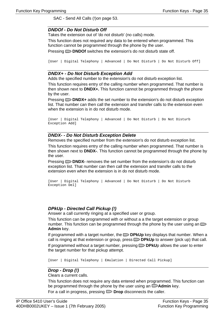<span id="page-34-0"></span>SAC - Send All Calls (!)on page 53.

#### **DNDOf - Do Not Disturb Off**

Takes the extension out of 'do not disturb' (no calls) mode.

This function does not required any data to be entered when programmed. This function cannot be programmed through the phone by the user.

Pressing **DNDOf** switches the extension's do not disturb state off.

<span id="page-34-1"></span>[User | Digital Telephony | Advanced | Do Not Disturb | Do Not Disturb Off]

#### **DNDX+ - Do Not Disturb Exception Add**

Adds the specified number to the extension's do not disturb exception list.

This function requires entry of the calling number when programmed. That number is then shown next to **DNDX+.** This function cannot be programmed through the phone by the user.

Pressing **DNDX+** adds the set number to the extension's do not disturb exception list. That number can then call the extension and transfer calls to the extension even when the extension is in do not disturb mode.

```
[User | Digital Telephony | Advanced | Do Not Disturb | Do Not Disturb 
Exception Add]
```
#### **DNDX- - Do Not Disturb Exception Delete**

Removes the specified number from the extension's do not disturb exception list.

This function requires entry of the calling number when programmed. That number is then shown next to **DNDX-**. This function cannot be programmed through the phone by the user.

Pressing **DNDX-** removes the set number from the extension's do not disturb exception list. That number can then call the extension and transfer calls to the extension even when the extension is in do not disturb mode.

```
[User | Digital Telephony | Advanced | Do Not Disturb | Do Not Disturb 
Exception Del]
```
#### **DPkUp - Directed Call Pickup (!)**

Answer a call currently ringing at a specified user or group.

This function can be programmed with or without a a the target extension or group number. This function can be programmed through the phone by the user using an  $\blacksquare$ **Admin** key.

If programmed with a target number, the **DPkUp** key displays that number. When a call is ringing at that extension or group, press **DPkUp** to answer (pick up) that call. If programmed without a target number, pressing **DPkU**p allows the user to enter the target number for that pickup attempt.

[User | Digital Telephony | Emulation | Directed Call Pickup]

#### **Drop - Drop (!)**

Clears a current calls.

This function does not require any data entered when programmed. This function can be programmed through the phone by the user using an  $\Box$ **Admin** key.

For a call in progress, pressing **Drop** disconnects the caller.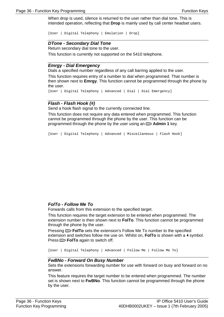W[hen drop is used, silence](#page-52-4) is retur[ned](#page-52-4) to the user rather than dial tone. This is intended operation, reflecting that **Drop** is mainly used by call center headset users.

<span id="page-35-0"></span>[User | Digital Telephony | Emulation | Drop]

#### **DTone - Secondary Dial Tone**

Return secondary dial tone to the user.

This function is currently not supported on the 5410 telephone.

#### **Emrgy - Dial Emergency**

Dials a specified number regardless of any call barring applied to the user.

<span id="page-35-1"></span>This function requires entry of a number to dial when programmed. That number is then shown next to **Emrgy**. This function cannot be programmed through the phone by the user.

```
[User | Digital Telephony | Advanced | Dial | Dial Emergency]
```
#### **Flash - Flash Hook (#)**

Send a hook flash signal to the currently connected line.

Th[is function does not require an](#page-52-4)y data entered when programmed. This function cannot be programmed through the phone by the user. This function can be programmed through the phone by the user using an  $\Box$  **Admin 1** key.

<span id="page-35-2"></span>[User | Digital Telephony | Advanced | Miscellaneous | Flash Hook]

#### **FolTo - Follow Me To**

Forwards calls from this extension to the specified target.

<span id="page-35-3"></span>This function requires the target extension to be entered when programmed. The extension number is then shown next to **FolTo**. This function cannot be programmed through the phone by the user.

Pressing **FolTo** sets the extension's Follow Me To number to the specified extension and switches follow me use on. Whilst on, FolTo is shown with a **4** symbol. Press **FolTo** again to switch off.

[User | Digital Telephony | Advanced | Follow Me | Follow Me To]

#### **FwBNo - Forward On Busy Number**

Sets the extensions forwarding number for use with forward on busy and forward on no answer.

<span id="page-35-4"></span>This feature requires the target number to be entered when programmed. The number set is shown next to **FwBNo**. This function cannot be programmed through the phone by the user.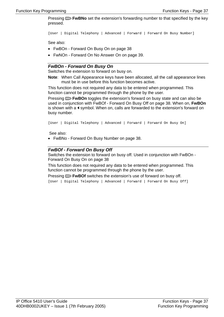Pressing **FwBNo** set the extension's forwarding number to that specified by the key pressed.

[User | Digital Telephony | Advanced | Forward | Forward On Busy Number]

See also:

- FwBOn Forward On Busy On on page 38
- <span id="page-36-0"></span>• FwNOn - Forward On No Answer On on page 39.

#### **FwBOn - Forward On Busy On**

Switches the extension to forward on busy on.

**Note**: When Call Appearance keys have been allocated, all the call appearance lines must be in use before this function becomes active.

<span id="page-36-1"></span>This function does not required any data to be entered when programmed. This function cannot be programmed through the phone by the user.

Pressing **FwBOn** toggles the extension's forward on busy state and can also be used in conjunction with FwBOf - Forward On Busy Off on page 38. When on, **FwBOn** is shown with a  $\triangleleft$  symbol. When on, calls are forwarded to the extension's forward on busy number.

[User | Digital Telephony | Advanced | Forward | Forward On Busy On]

<span id="page-36-2"></span>See also:

• FwBNo - Forward On Busy Number on page 38.

#### **FwBOf - Forward On Busy Off**

Switches the extension to forward on busy off. Used in conjunction with FwBOn - Forward On Busy On on page 38

This function does not required any data to be entered when programmed. This function cannot be programmed through the phone by the user.

Pressing **FwBOf** switches the extension's use of forward on busy off.

<span id="page-36-3"></span>[User | Digital Telephony | Advanced | Forward | Forward On Busy Off]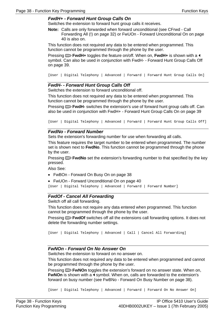#### <span id="page-37-0"></span>**FwdH+ - Forward Hunt Group Calls On**

Switches the extension to forward hunt group calls it receives.

**Note:** Calls are only forwarded when forward unconditional (see CFrwd - Call Forwarding All (!) on page 32) or FwUOn - Forward Unconditional On on page 40 is also on.

This function does not required any data to be entered when programmed. This function cannot be programmed through the phone by the user.

Pressing **FwdH+** toggles the feature on/off. When on, **FwdH+** is shown with a symbol. Can also be used in conjunction with FwdH- - Forward Hunt Group Calls Off on page 39.

[User | Digital Telephony | Advanced | Forward | Forward Hunt Group Calls On]

#### **F[wdH- - Forward Hunt Group](#page-37-1) Calls [Off](#page-37-1)**

S[witches the extension to forward uncon](#page-38-4)ditional [off.](#page-38-5) 

This function does not required any data to be entered when programmed. This function cannot be programmed through the phone by the user.

<span id="page-37-1"></span>Pressing **FwdH-** switches the extension's use of forward hunt group calls off. Can also be used in conjunction with FwdH+ - Forward Hunt Group Calls On on page 39

[User | Digital Telephony | Advanced | Forward | Forward Hunt Group Calls Off]

#### **FwdNo - Forward Number**

Sets the extension's forwarding number for use when forwarding all calls.

This feature requires the [target number to be entered wh](#page-37-2)en prog[ram](#page-37-2)med. The number set is shown next to **FwdNo**. This function cannot be programmed through the phone by the user.

Pressing **FwdNo** set the extension's forwarding number to that specified by the key pressed.

Also See:

- FwBOn Forward On Busy On on page 38
- [FwUOn Forward Unconditional On](#page-37-0) on page [40](#page-37-0)

<span id="page-37-2"></span>[User | Digital Telephony | Advanced | Forward | Forward Number]

#### **FwdOf - Cancel All Forwardi[ng](#page-37-1)**

Switch off all call forwarding.

This function does not require any data entered when programmed. This function cannot be programmed through the phone by the user.

Pressing **FwdOf** switches off all the extensions call forwarding options. It does not delete the forwarding number settings.

[User | Digital Telephony | Advanced | Call | Cancel All Forwarding]

#### **FwNOn - Forward On No Answer On**

Switches the extension to forward on no answer on.

This function does not required any data to be entered when programmed and cannot be programmed through the phone by the user.

Pressing **FwNO**n toggles the extension's forward on no answer state. When on, FwNOn is shown with a  $\triangleleft$  symbol. When on, calls are forwarded to the extension's forward on busy number (see FwBNo - Forward On Busy Number on page 38).

[User | Digital Telephony | Advanced | Forward | Forward On No Answer On]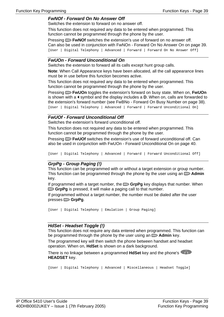#### <span id="page-38-0"></span>**FwNOf - Forward On No Answer Off**

Switches the extension to forward on no answer off.

This function does not required any data to be entered when programmed. This function cannot be programmed through the phone by the user.

Pressing **FwNOf** switches the extension's use of forward on no answer off. Can al[so be used in conju](#page-31-0)nction [with](#page-31-0) Fw[NOn - Forward On No Answer On on](#page-39-1) page 39. [User [| Di](#page-39-1)gital Telephony | Advanced | Forward | Forward On No Answer Off]

#### **FwUOn - Forward Unconditional On**

Switches the extension to forward all its calls except hunt group calls.

**Note**: When Call Appearance keys have bee[n allocated, all the call appearance lines](#page-38-1)  must be [in u](#page-38-1)se before this function becomes active.

This function does not required any data to be entered when programmed. This function cannot be programmed through the phone by the user.

<span id="page-38-1"></span>Pressing **FwUOn** toggles the extension's forward on busy state. When on, **FwUOn** is shown with a  $\triangleleft$  symbol and the display includes a **D**. When on, calls are forwarded to the extension's forward number (see FwBNo - Forward On Busy Number on page 38). [User | Digital Telephony | Advanced | Forward | Forward Unconditional On]

#### **FwUOf - Forward Unconditional Off**

Switches the extension's forward unconditional off.

This function does not required [any data to be entered when programme](#page-38-0)d. This function cannot be programmed through the phone by the user.

<span id="page-38-2"></span>Pressing **FwUOf** switches the extension's use of forward unconditional off. Can also be used in conjunction with FwUOn - Forward Unconditional On on page 40.

[User | Digital Telephony | Advanced | Forward | Forward Unconditional Off]

#### **GrpPg - Group Paging (!)**

This function can be programmed with or without a target extension or group number. This function can be programmed through the phone by the user using an  $\Box$  **Admin** key.

If programmed with a target number, the **GrpPg** key displays that number. When GrpPg is pressed, it will make a paging call to that number.

If [programmed without a target num](#page-37-1)ber, th[e nu](#page-37-1)mber must be dialed after the user presses **[GrpPg](#page-39-1)**.

<span id="page-38-3"></span>[User | Digital Telephony | Emulation | Group Paging]

#### **HdSet - Headset Toggle (!)**

This function does not require any data entered when programmed. This function can be programmed through the phone by the user using an  $\Box$  **Admin** key.

The programmed key will then switch the phone between handset and headset operation. When on, **HdSet** is shown on a dark background.

There is no linkage between a programmed **HdSet** key and the phone's **HEADSET** key.

```
[User | Digital Telephony | Advanced | Miscellaneous | Headset Toggle]
```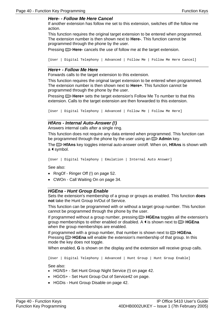#### **Here- - Follow Me Here Cancel**

If another extension has follow me set to this extension, switches off the follow me action.

This function requires the original target extension to be entered when programmed. The extension number is then shown next to **Here-**[. This function c](#page-37-0)annot b[e](#page-37-0)  programmed through the phone by the user.

Pressing **D** Here- cancels the use of follow me at the target extension.

<span id="page-39-0"></span>[User | Digital Telephony | Advanced | Follow Me | Follow Me Here Cancel]

#### **Here+ - Follow Me Here**

Forwards calls to the target extension to this extension.

This function requires the original target extension to be entered when programmed. The extension number is then shown next to **Here+**. This function cannot be programmed through the phone by th[e user.](#page-38-4) 

<span id="page-39-1"></span>Pressing **Here+** sets the target extension's Follow Me To number to that this extension. Calls to the target extension are then forwarded to this extension.

[User | Digital Telephony | Advanced | Follow Me | Follow Me Here]

#### **HfAns - Internal Auto-Answer (!)**

Answers internal calls after a single ring.

This function does not require any data entered when programmed. This function can be programmed through the phone by the user using an  $\Box$  **Admin** key.

The **HfAns** key toggles internal auto-answer on/off. When on, **HfAns** is shown with a  $\triangleleft$  symbol.

[User | Digital Telephony | Emulation | Internal Auto Answer]

<span id="page-39-2"></span>See also:

- RngOf Ringer Off (!) on page 52.
- CWOn Call Waiting On on page 34.

#### **HGEna - Hunt Group Enable**

Sets the extension's membershi[p of a group or groups as enabled. Th](#page-39-1)is functi[on](#page-39-1) **does not** take the Hunt Group In/Out of Service.

This function can be programmed with or without a target group number. This function cannot be programmed through the phone by the user.

<span id="page-39-3"></span>If programmed without a group number, pressing **D** HGEna toggles all the extension's group memberships to either enabled or disabled. A  $\triangleleft$  is shown next to  $\Box$  **HGEna** when the group memberships are enabled.

If programmed with a group number, that number is shown next to  $\Box$  **HGEna**. Pressing **HGEna** will enable the extension's membership of that group. In this mode the key does not toggle.

When enabled, **G** is shown on the display and the extension will receive group calls.

[User | Digital Telephony | Advanced | Hunt Group | Hunt Group Enable]

See also:

- HGNS+ Set Hunt Group Night Service (!) on page 42.
- <span id="page-39-4"></span>• HGOS+ - Set Hunt Group Out of Service42 on page.
- HGDis Hunt Group Disable on page 42.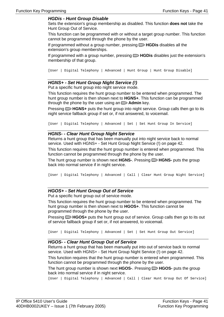#### **HGDis - Hunt Group Disable**

Sets the extension's group membership as disabled. This function **does not** take the Hunt Group Out of Service.

This function can be programmed with or without a target group number. This function cannot be programmed through the phone by the user.

If programmed without a group number, pressing **D HGDis** disables all the extension's group memberships.

If programmed with a group number, pressing **HGDis** disables just the extension's membership of that group.

<span id="page-40-0"></span>[User | Digital Telephony | Advanced | Hunt Group | Hunt Group Disable]

#### **HGNS+ - Set Hunt Group Night Service (!)**

Put a specific hunt group into night service mode.

This function requires the hunt group number to be entered when programmed. The hunt group number is then shown next to **HGNS+**. This function can be programmed through the phone by the user using an  $\Box$  **Admin** key.

<span id="page-40-1"></span>Pressing **HGNS+** puts the hunt group into night service. Group calls then go to its night service fallback group if set or, if not answered, to voicemail.

[User | Digital Telephony | Advanced | Set | Set Hunt Group In Service]

#### **HGNS- - Clear Hunt Group Night Service**

Returns a hunt group that has been manually put into night service back to normal service. Used with HGNS+ - Set Hunt Group Night Service (!) on page 42.

This function requires that the hunt group number is entered when programmed. This function cannot be programmed through the phone by the user.

The hunt group number is shown next **HGNS-**. Pressing **HGNS-** puts the group back into normal service if in night service.

<span id="page-40-2"></span>[User | Digital Telephony | Advanced | Call | Clear Hunt Group Night Service]

#### **HGOS+ - Set Hunt Group Out of Service**

Put a specific hunt group out of service mode.

This function requires the hunt group number to be entered when programmed. The hunt group number is then shown next to **HGOS+**. This function cannot be programmed through the phone by the user.

Pressing **HGOS+** puts the hunt group out of service. Group calls then go to its out of service fallback group if set or, if not answered, to voicemail.

[U[ser | Digital Teleph](#page-51-2)[ony](#page-33-0) | Ad[van](#page-51-2)[ced](#page-33-0) | Set | Set Hunt Group Out Service]

#### **HGOS- - Clear Hunt Group Out of Service**

<span id="page-40-3"></span>Returns a hunt group that has been manually put into out of service back to normal service. Used with HGNS+ - Set Hunt Group Night Service (!) on page 42.

This function requires that the hunt group number is entered when programmed. This function cannot be programmed through the phone by the user.

The hunt group number is shown next **HGOS-**. Pressing **HGOS-** puts the group back into normal service if in night service.

[User | Digital Telephony | Advanced | Call | Clear Hunt Group Out Of Service]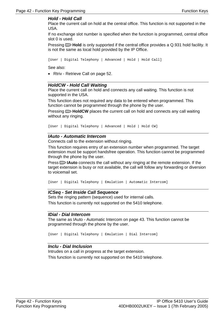#### **Hold - Hold Call**

Place the current call on hold at the central office. This function is not supported in the USA.

If no exchange slot number is specified when the function is programmed, central office slot 0 is used.

Pressing **Hold** is only supported if the central office provides a Q.931 hold facility. It is not the same as local hold provided by the IP Office.

```
[User | Digital Telephony | Advanced | Hold | Hold Call]
```
Se[e also:](#page-41-0) 

• Rtriv - Retrieve Call on page 52.

#### <span id="page-41-0"></span>**HoldCW - Hold Call Waiting**

Place the current call on hold and connects any call waiting. This function is not supported in the USA.

This function does not required any data to be entered when programmed. This function cannot be programmed through the phone by the user.

Pressing **HoldCW** places the current call on hold and connects any call waiting without any ringing.

[User | Digital Telephony | Advanced | Hold | Hold CW]

#### **IAuto - Automatic Intercom**

Connects call to the extension without ringing.

<span id="page-41-1"></span>This function requires entry of an extension number when programmed. The target extension must be support handsfree operation. This function cannot be programmed through the phone by the user.

Press **I IAuto** connects the call without any ringing at the remote extension. If the target extension is busy or not available, the call will follow any forwarding or diversion to voicemail set.

[User | Digital Telephony | Emulation | Automatic Intercom]

#### **ICSeq - Set Inside Call Sequence**

Sets the ringing pattern (sequence) used for internal calls. This function is currently not supported on the 5410 telephone.

#### <span id="page-41-2"></span>**IDial - Dial Intercom**

The same as IAuto - Automatic Intercom on page 43. This function cannot be programmed through the phone by the user.

[User | Digital Telephony | Emulation | Dial Intercom]

#### **Inclu - Dial Inclusion**

<span id="page-41-3"></span>Intrudes on a call in progress at the target extension. This function is currently not supported on the 5410 telephone.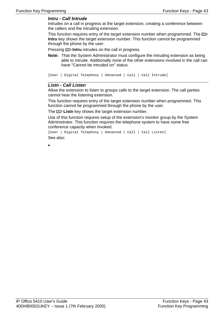#### **Intru - Call Intrude**

Intrudes on a call in progress at the target extension, creating a conference between the callers and the intruding extension.

This function requires entry of the target extension number when programmed. The **Intru** key shows the target extension number. This function cannot be programmed through the phone by the user.

Pressing **Intru** intrudes on the call in progress.

<span id="page-42-0"></span>**Note:** That the System Administrator must configure the intruding extension as being able to intrude. Additionally none of the other extensions involved in the call can have "Cannot be intruded on" status.

```
[User | Digital Telephony | Advanced | Call | Call Intrude]
```
#### **Listn - Call Listen**

Allow the extension to listen to groups calls to the target extension. The call parties cannot hear the listening extension.

This function requires entry of the target extension number when programmed. This function cannot be programmed through the phone by the user.

The **Listn** key shows the target extension number.

Use of this function requires setup of the extension's monitor group by the System Administrator. This function requires the telephone system to have some free conference capacity when invoked.

<span id="page-42-1"></span>[User | Digital Telephony | Advanced | Call | Call Listen] See also:

<span id="page-42-3"></span><span id="page-42-2"></span>•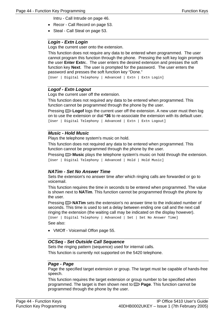- Intru Call Intrude on page 46.
- <span id="page-43-0"></span>• Recor - Call Record on page 53.
- Steal Call Steal on page 53.

#### **Login - Extn Login**

Logs the current user onto the extension.

<span id="page-43-1"></span>This function does not require any data to be entered when programmed. The user cannot program this function through the phone. Pressing the so[ft key login prompts](#page-42-3) [the user](#page-42-3) **Enter Ex[tn:](#page-42-3)**. The user enters the desired extension and presses the soft function key **Next**. The user is prompted for the password. The user enters the password and presses the soft function key "Done."

[User | Digital Telephony | Advanced | Extn | Extn Login]

#### <span id="page-43-2"></span>**Logof - Extn Logout**

Logs the current user off the extension.

This function does not required any data to be entered when programmed. This function cannot be programmed through the phone by the user.

Pressing **Logof** logs the current user off the extension. A new user must then log on to use the extension or dial **\*36** to re-associate the extension with its default user. [User | Digital Telephony | Advanced | Extn | Extn Logout]

#### **Music - Hold Music**

Plays the telephone system's music on hold.

This function does not required any data to be entered when programmed. This function cannot be programmed through the phone by the user.

Pressing **Music** plays the telephone system's music on hold through the extension. [User | Digital Telephony | Advanced | Hold | Hold Music]

#### **NATim - Set No Answer Time**

Sets the extension's no answer time after which ringing calls are forwarded or go to voicemail.

This function requires the time in seconds to be entered when programmed. The value is shown next to **NATim**. This function cannot be programmed through the phone by the user.

Pressing **NATim** sets the extension's no answer time to the indicated number of seconds. This time is used to set a delay between ending one call and the next call ringing the extension (the waiting call may be indicated on the display however).

[User | Digital Telephony | Advanced | Set | Set No Answer Time] See also:

• VMOff - Voicemail Offon page 55.

#### **OCSeq - Set Outside Call Sequence**

Sets the ringing pattern (sequence) used for internal calls.

This function is currently not supported on the 5420 telephone.

#### **Page - Page**

Page the specified target extension or group. The target must be capable of hands-free speech.

This function requires the target extension or group number to be specified when programmed. The target is then shown next to **Page**. This function cannot be programmed through the phone by the user.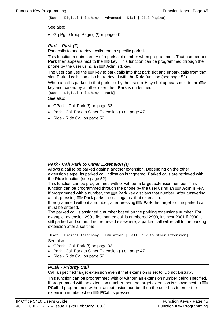<span id="page-44-0"></span>[User | Digital Telephony | Advanced | Dial | Dial Paging]

See also:

• GrpPg - Group Paging (!)on page 40.

#### **Park - Park (#)**

Park calls to and retrieve calls from a specific park slot.

This function requires entry of a park slot number when programmed. That number and **Park** then appears next to the  $\Box$  key. This function can be programmed through the phone by the user using an **D** Admin 1 key.

The user can use the  $\Box$  key to park calls into that park slot and unpark calls from that slot. Parked calls can also be retrieved with the **Ride** function (see page 52).

When a call is parked in that park slot by the user, a  $\bullet$  symbol appears next to the  $\Box$ key and parked by another user, then **Park** is underlined.

<span id="page-44-1"></span>[User | Digital Telephony | Park] See also:

- CPark Call Park (!) on page 33.
- Park Call Park to Other Extension (!) on page 47.
- <span id="page-44-2"></span>• Ride - Ride Call on page 52.

#### **Park - Call Park to Other Extension (!)**

Allows a call to be parked against another extension. Depending on the other extension's type, its parked call indication is triggered. Parked calls are retrieved with the **Ride** function (see page 52).

This function can be programmed with or without a target extension number. This function can be programmed through the phone by the user using an  $\Box$  **Admin** key. If programmed with a number, the  $\Box$  **Park** key displays that number. After answering a call, pressing **Park** parks the call against that extension.

If programmed without a number, after pressing **Park** the target for the parked call must be entered.

The parked call is assigned a number based on the parking extensions number. For example, extension 290's first parked call is numbered 2900, it's next 2901 if 2900 is still parked and so on. If not retrieved elsewhere, a parked call will recall to the parking extension after a set time.

[User | Digital Telephony | Emulation | Call Park to Other Extension] See also:

- CPark Call Park (!) on page 33.
- Park Call Park to Other Extension (!) on page 47.
- Ride Ride Call on page 52.

#### **PCall - Priority Call**

Call a specified target extension even if that extension is set to 'Do not Disturb'.

This function can be programmed with or without an extension number being specified. If programmed with an extension number then the target extension is shown next to **PCall**. If programmed without an extension number then the user has to enter the extension number when **PCall** is pressed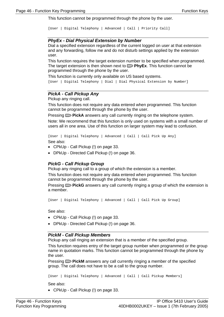Th[is function cannot b](#page-44-2)e progr[amm](#page-44-2)ed through the phone by the user.

```
[User | Digital Telephony | Advanced | Call | Priority Call]
```
#### <span id="page-45-0"></span>**PhyEx - Dial Physical Extension by Number**

Dial a specified extension regardless of the current logged on user at that extension and any forwarding, follow me and do not disturb settings applied by the extension user.

This function requires the target extension number to be specified when programmed. The target extension is then shown next to **PhyEx**. This function cannot be programmed through the phone by the user.

This function is currently only available on US based systems.

[User | Digital Telephony | Dial | Dial Physical Extension by Number]

#### <span id="page-45-1"></span>**PickA - Call Pickup Any**

Pickup any ringing call.

This function does not require any data entered when programmed. This function cannot be programmed through the phone by the user.

Pressing **PickA** answers any call currently ringing on the telephone system.

Note: We recommend that this function is only used on systems with a small number of users all in one area. Use of this function on larger system may lead to confusion.

<span id="page-45-2"></span>[User | Digital Telephony | Advanced | Call | Call Pick Up Any]

See also:

- [CPkUp Call Pickup \(!\) on pag](#page-44-2)e 33.
- DPkUp Directed Call Pickup (!) on page 36.

#### **PickG - Call Pickup Group**

<span id="page-45-3"></span>Pickup any ringing call to a group of which the extension is a member.

This function does not require any data entered when programmed. This function cannot be programmed through the phone by the user.

Pressing **PickG** answers any call currently ringing a group of which the extension is a member.

[User | Digital Telephony | Advanced | Call | Call Pick Up Group]

See also:

- CPkUp Call Pickup (!) on page 33.
- DPkUp Directed Call Pickup (!) on page 36.

#### **Pi[ckM - Call Pickup Me](#page-54-2)mber[s](#page-54-2)**

Pickup any call ringing an extension that is a member of the specified group.

<span id="page-45-4"></span>This function requires entry of the target group number when programmed or the group name in quotation marks. This function cannot be programmed through the phone by the user.

Pressing **PickM** answers any call currently ringing a member of the specified group. The call does not have to be a call to the group number.

```
[User | Digital Telephony | Advanced | Call | Call Pickup Members]
```
<span id="page-45-5"></span>See also:

• CPkUp - Call Pickup (!) on page 33.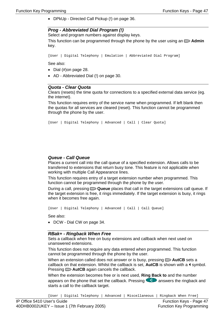• DPkUp - Directed Call Pickup (!) on page 36.

#### **Prog - Abbreviated Dial Program (!)**

Select and program numbers against display keys.

This function can be programmed through the phone by the user using an  $\Box$  Admin ke[y.](#page-39-3) 

[User | Digital Telephony | Emulation | Abbreviated Dial Program]

<span id="page-46-0"></span>See also:

- Dial (#)on page 28.
- AD Abbreviated Dial (!) on page 30.

#### **Quota - Clear Quota**

Clears (resets) the time quota for connections to a specified external dat[a se](#page-51-1)rvice (eg. the internet).

This function requires entry of the service name when programmed. If left blank then the quotas for all services are cleared (reset). This function cannot be programmed through the phone by the user.

```
[User | Digital Telephony | Advanced | Call | Clear Quota]
```
#### **Queue - Call Queue**

Places a current call into the call queue of a specified extension. Allows calls to be transferred to extensions that return busy tone. This feature is not applicable when working with multiple Call Appearance lines.

<span id="page-46-1"></span>This function requires entry of a target extension number when programmed. This function cannot be programmed through the phone by the user.

During a call, pressing **Queue** places that call in the target extensions call queue. If the target extension is free, i[t rin](#page-51-1)gs immediately. If the target extension is busy, it rings when it becomes free again.

```
[User | Digital Telephony | Advanced | Call | Call Queue]
```
See also:

• DCW - Dial CW on page 34.

#### **RBak+ - Ringback When Free**

Sets a callback when free on busy extensions and callback when next used on unanswered extensions.

This function does not require any data entered when programmed. This function cannot be programmed through the phone by the user.

When an extension called does not answer or is busy, pressing **AutCB** sets a cal[lback on that extensi](#page-32-0)on. Whil[st th](#page-32-0)e callback is set,  $AutCB$  is shown with a  $\triangleleft$  symbol. Pressing **AutCB** [again cancels the ca](#page-46-1)llback.

W[hen the extension](#page-51-1) becom[es f](#page-51-1)ree or is next used, **Ring Back to** and the number appears on the phone that set the callback. Pressing  $\Box$  answers the ringback and starts a call to the callback target.

[User | Digital Telephony | Advanced | Miscellaneous | Ringback When Free]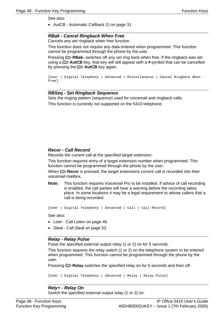<span id="page-47-0"></span>See also:

• AutCB - Automatic Callback (!) on page 31.

#### **RBak - Cancel Ringback When Free**

Cancels any set ringback when free function.

This function does not require any data entered when programmed. This function cannot be programmed through the phone by the user.

Pressing **RBak-** switches off any set ring back when free. If the ringback was set using a  $\Box$  **AutCB** key, that key will still appear with a  $\blacktriangleleft$  symbol that can be cancelled by pressing the **AutCB** key again.

```
[User | Digital Telephony | Advanced | Miscellaneous | Cancel Ringback When 
Free]
```
#### **RBSeq - Set Ringback Sequence**

Sets the ringing pattern (sequence) used for voicemail and ringback calls. This function is currently not supported on the 5410 telephone.

#### <span id="page-47-2"></span>**Recor - Call Record**

Records the current call at the specified target extension.

This function requires entry of a target extension number when programmed. This function cannot be programmed through the phone by the user.

When **Recor** is pressed, the target extensions current call is recorded into their voicemail mailbox.

**Note:** [This function requ](#page-32-1)ires Voic[em](#page-32-1)ail Pro to be installed. If advice of call recording [is enabled, the call parties](#page-35-3) will hear [a w](#page-35-3)arning before the recording takes place. In some locations it may be a legal requirement to advise callers that a call is being recorded.

```
[User | Digital Telephony | Advanced | Call | Call Record]
```
See also:

- Listn Call Listen on page 46.
- Steal Call Steal on page 53.

#### **Relay - Relay Pulse**

Pulse the specified external output relay (1 or 2) on for 5 seconds.

This function requires the relay switch (1 or 2) on the telephone system to be entered when programmed. This function cannot be programmed through the phone by the user.

Pressing **Relay** [switches the sp](#page-35-3)[ecif](#page-32-1)ied r[elay](#page-35-3) on for 5 seconds and then off.

```
[User | Digital Telephony | Advanced | Relay | Relay Pulse]
```
#### **Rely+ - Relay On**

Switch the specified external output relay (1 or 2) on.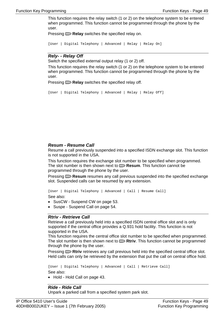This function requires the relay switch (1 or 2) on the telephone system to be entered when programmed. This function cannot be programmed through the phone by the user.

Pressing  $\Box$  **Relay** switches the specified relay on.

[User | Digital Telephony | Advanced | Relay | Relay On]

#### **Rely- - Relay Off**

S[witch the specified extern](#page-32-1)al outpu[t rel](#page-32-1)ay (1 or 2) off.

Th[is function requires the relay swit](#page-35-3)ch (1 or [2\) o](#page-35-3)n the telephone system to be entered when programmed. This function cannot be programmed through the phone by the user.

<span id="page-48-0"></span>Pressing  $\Box$  **Relay** switches the specified relay off.

[User | Digital Telephony | Advanced | Relay | Relay Off]

#### <span id="page-48-1"></span>**Resum - Resume Call**

Resume a call previously suspended into a specified ISDN exchange slot. This function is not supported in the USA.

This function requires the exchange slot number to be specified when programmed. The slot number is then shown next to **Resum**. This function cannot be programmed through the phone by the user.

Pressing **Resum** resumes any call previous suspended into the specified exchange slot. Suspended calls can be resumed by any extension.

```
[User | Digital Telephony | Advanced | Call | Resume Call] 
See also:
```
- SusCW Suspend CW on page 53.
- Suspe Suspend Call on page 54.

#### <span id="page-48-2"></span>**Rtriv - Retrieve Call**

Retrieve a call previously held into a specified ISDN central office slot and is only supported if the central office provides a Q.931 hold facility. This function is not supported in the USA.

This function requires the central office slot number to be specified when programmed. The slot number is then shown next to  $\Box$  **Rtriv**. This function cannot be programmed through the phone by the user.

Pressing **Rtriv** retrieves any call previous held into the specified central office slot. Held calls can only be retrieved by the extension that put the call on central office hold.

```
[User | Digital Telephony | Advanced | Call | Retrieve Call] 
See also:
```
• [Hold - Hold Call](#page-33-2) on page [43.](#page-33-2)

#### **Ride - Ride Call**

Unpark a parked call from a specified system park slot.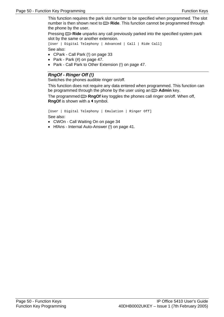<span id="page-49-0"></span>This function requires the park slot number to be specified when programmed. The slot number is then shown next to **Ride**. This function cannot be programmed through the phone by the user.

Pressing **Ride** unparks any call previously parked into the specified system park slot by the same or another extension.

```
[User | Digital Telephony | Advanced | Call | Ride Call] 
See also:
```
- CPark Call Park (!) on page 33
- Park Park (#) on page 47.
- Park Call Park to Other Extension (!) on page 47.

#### **RngOf - Ringer Off (!)**

Switches the phones audible ringer on/off.

This function does not require any data entered when programmed. This function can be [programmed through the phone](#page-30-1) by the user using an  $\Box$  **Admin** key.

T[he p](#page-30-1)rogrammed **RngOf** key toggles the phones call ringer on/off. When off, **RngOf** is shown with a  $\triangleleft$  symbol.

<span id="page-49-1"></span>[User | Digital Telephony | Emulation | Ringer Off]

See also:

- CWOn Call Waiting On on page 34
- <span id="page-49-3"></span><span id="page-49-2"></span>• HfAns - Internal Auto-Answer (!) on page 41.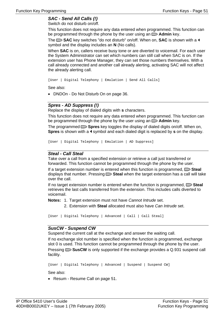## **SAC - Send All Calls (!)**

Switch do not disturb on/off.

This function does not require any data entered when programmed. This function can be programmed through the phone by the user using an  $\Box$  **Admin** key.

The **SAC** [key sw](#page-44-1)itches "d[o no](#page-44-1)t disturb" on/off. When on, **SAC** is shown with a  $\triangleleft$ sy[mbol and the disp](#page-52-2)lay inclu[des](#page-52-2) an **N** (No calls).

<span id="page-50-0"></span>When **SAC** is on, callers receive busy tone or are diverted to voicemail. For each user the System Administrator can set which numbers can still call when SAC is on. If the extension user has Phone Manager, they can set those numbers themselves. With a call already connected and another call already alerting, activating SAC will not affect the already alerting call.

[User | Digital Telephony | Emulation | Send All Calls]

See also:

• DNDOn - Do Not Disturb On on page 36.

#### **Spres - AD Suppress (!)**

<span id="page-50-1"></span>Replace the display of dialed digits with **s** characters.

This function does not require any data entered when programmed. This function can be programmed through the phone by the user using an  $\Box$  **Admin** key.

The programmed **Spres** key toggles the display of dialed digits on/off. When on, **Spres** is shown with a  $\triangleleft$  symbol and each dialed digit is replaced by **s** on the display.

[User | Digital Telephony | Emulation | AD Suppress]

#### **Steal - Call Steal**

<span id="page-50-2"></span>Take over a call from a specified extension or retrieve a call just transferred or forwarded. This function cannot be programmed through the phone by the user.

If a target extension number is entered when this function is programmed, **Steal** displays that number. Pressing **Steal** when the target extension has a call will take over the call.

If no target extension number is entered when the function is programmed,  $\blacksquare$  **Steal** retrieves the last calls transferred from the extension. This includes calls diverted to voicemail.

**Notes:** 1. Target extension must not have Cannot Intrude set.

2. Extension with **Steal** allocated must also have Can Intrude set.

```
[User | Digital Telephony | Advanced | Call | Call Steal]
```
#### **SusCW - Suspend CW**

Suspend the current call at the exchange and answer the waiting call.

If no exchange slot number is specified when the function is programmed, exchange slot 0 is used. This function cannot be programmed through the phone by the user.

<span id="page-50-3"></span>Pressing **SusCW** is only supported if the exchange provides a Q.931 suspend call facility.

[User | Digital Telephony | Advanced | Suspend | Suspend CW]

See also:

• Resum - Resume Call on page 51.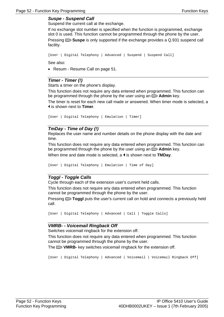#### **Suspe - Suspend Call**

Suspend the current call at the exchange.

If no exchange slot number is specified when the function is programmed, exchange slot 0 is used. This function cannot be programmed through the phone by the user. Pressing **Suspe** is only suppor[ted](#page-52-3) if the exchange provides a Q.931 suspend call fa[cility.](#page-52-3) 

```
[User | Digital Telephony | Advanced | Suspend | Suspend Call]
```
See also:

• Resum - Resume Call on page 51.

#### **Timer - Timer (!)**

Starts a timer on the phone's display.

This function does not require any data entered when programmed. This function can be programmed through the phone by the user using an **Admin** key.

The timer is reset for each new call made or answered. When timer mode is selected, a is shown next to **Timer**.

```
[User | Digital Telephony | Emulation | Timer]
```
#### <span id="page-51-1"></span>**TmDay - Time of Day (!)**

Replaces the user name and number details on the phone display with the date and time.

This function does not require any data entered when programmed. This function can be programmed through the phone by the user using an  $\Box$  **Admin** key.

When time and date mode is selected, a **i** is shown next to **TMDay**.

```
[User | Digital Telephony | Emulation | Time of Day]
```
#### **T[oggl - Toggle Calls](#page-32-0)**

Cy[cle through eac](#page-46-0)h of the [exte](#page-46-0)nsion user's current held calls.

Th[is function does not require any data en](#page-46-1)tered w[hen](#page-46-1) programmed. This function cannot be programmed through the phone by the user.

<span id="page-51-2"></span>Pressing **Toggl** puts the user's current call on hold and connects a previously held call.

```
[User | Digital Telephony | Advanced | Call | Toggle Calls]
```
#### **VMRB- - Voicemail Ringback Off**

Switches voicemail ringback for the extension off.

This function does not require any data entered when programmed. This function ca[nnot be programmed thro](#page-33-0)ugh the [pho](#page-33-0)ne by the user.

The **VMRB-** [key switches voicem](#page-40-2)ail ring[bac](#page-40-2)k for the extension off.

[User | Digital Telephony | Advanced | Voicemail | Voicemail Ringback Off]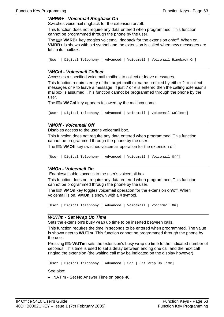#### <span id="page-52-0"></span>**VMRB+ - Voicemail Ringback On**

Switches voicemail ringback for the extension on/off.

This function does not require any data entered when programmed. This function cannot be programmed through the phone by the user.

The **VMRB**+ key toggles voicemail ringback for the extension on/off. When on, **VMRB**+ is shown with a ◀ symbol and the extension is called when new messages are left in its mailbox.

```
[User | Digital Telephony | Advanced | Voicemail | Voicemail Ringback On]
```
#### **VMCol - Voicemail Collect**

Accesses a specified voicemail mailbox to collect or leave messages.

This function requires entry of the target mailbox name prefixed by either ? to collect messages or # to leave a message. If just ? or # is entered then the calling extension's m[ailbox is assumed. This functio](#page-34-1)n cann[ot be](#page-34-1) programmed through the phone by the user.

<span id="page-52-1"></span>The **VMCol** key appears followed by the mailbox name.

```
[User | Digital Telephony | Advanced | Voicemail | Voicemail Collect]
```
#### **VMOff - Voicemail Off**

Disables access to the user's voicemail box.

This function does not require any data entered when programmed. This function cannot be programmed through the phone by the user.

The **VMOff** key switches voicemail operation for the extension off.

<span id="page-52-2"></span>[User | Digital Telephony | Advanced | Voicemail | Voicemail Off]

#### **VMOn - Voicemail On**

Enables/disables access to the user's voicemail box.

This function does not require any data entered when programmed. This function cannot be programmed through the phone by the user.

The **VMOn** key toggles voicemail operation for the extension on/off. When voicemail is on, **VMOn** is shown with a **1** symbol.

[User | Digital Telephony | Advanced | Voicemail | Voicemail On]

#### **WUTim - Set Wrap Up Time**

Sets the extension's busy wrap up time to be inserted between calls.

This function requires the time in seconds to be entered when programmed. The value is shown next to **WUTim**. This function cannot be programmed through the phone by the user.

<span id="page-52-4"></span><span id="page-52-3"></span>Pressing **WUTim** sets the extension's busy wrap up time to the indicated number of seconds. This time is used to set a delay between ending one call and the next call ringing the extension (the waiting call may be indicated on the display however).

[User | Digital Telephony | Advanced | Set | Set Wrap Up Time]

See also:

• NATim - Set No Answer Time on page 46.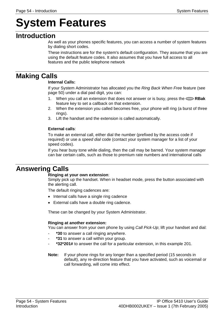# **System Features**

## **Introduction**

<span id="page-53-0"></span>As well as your phones specific features, you can access a number of system features by dialing short codes.

These instructions are for the system's default configuration. They assume that you are using the default feature codes. It also assumes that you have full access to all features and the public telephone network

# **Making Calls**

#### **Int[ernal Calls:](#page-50-3)**

If your System Administrator has [alloc](#page-50-3)ated you the Ring Back When Free feature (see page 50) under a dial pad digit, you can:

- <span id="page-53-1"></span>1. When you call an extension that does not answer or is busy, press the **RBak** feature key to set a callback on that extension.
- 2. When the extension you called becomes free, your phone will ring (a burst of three rings).
- 3. Lift the handset and the extension is called automatically.

#### **External calls**:

To make an external call, either dial the number (prefixed by the access code if required) or use a speed dial code (contact your system manager for a list of your speed codes).

<span id="page-53-2"></span>If you hear busy tone while dialing, then the call may be barred. Your system manager can bar certain calls, such as those to premium rate numbers and international calls

## **Answering Calls**

#### **Ringing at your own extension**:

Simply pick up the handset. When in headset mode, press the button associated with the alerting call.

<span id="page-53-3"></span>The default ringing cadences are:

- Internal calls have a single ring cadence
- External calls have a double ring cadence.

These can be changed by your System Administrator.

#### **Ringing at another extension:**

You can answer from your own phone by using Call Pick-Up; lift your handset and dial:

- \*30 to answer a call ringing anywhere.
- **\*31** to answer a call within your group.
- <span id="page-53-4"></span>- **\*32\*201#** to answer the call for a particular extension, in this example 201.
- **Note:** If your phone rings for any longer than a specified period (15 seconds in default), any re-direction feature that you have activated, such as voicemail or call forwarding, will come into effect.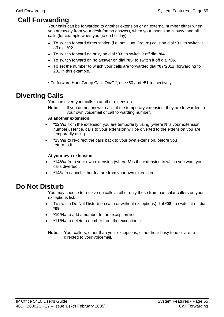## **Call Forwarding**

Your calls can be forwarded to another extension or an external number either when you are away from your desk (on no answer), when your extension is busy, and all calls (for example when you go on holiday).

- <span id="page-54-0"></span>• To switch forward direct station (i.e. not Hunt Group\*) calls on dial **\*01**, to switch it off dial **\*02**.
- To switch forward on busy on dial **\*03**, to switch it off dial **\*04**.
- To switch forward on no answer on dial **\*05**, to switch it off dial **\*06**.
- To set the number to which your calls are forwarded dial **\*07\*201#**, forwarding to 201 in this example.
- \* To forward Hunt Group Calls On/Off, use \*50 and \*51 respectively.

## **Diverting Calls**

<span id="page-54-1"></span>You can divert your calls to another extension.

**Note:** If you do not answer calls at the temporary extension, they are forwarded to your own voicemail or call forwarding number.

#### **At another extension:**

- **\*12\*N#** from the extension you are temporarily using (where **N** is your extension number). Hence, calls to your extension will be diverted to the extension you are temporarily using.
- **\*13\*N#** to re-direct the calls back to your own extension, before you return to it.

#### <span id="page-54-2"></span>**At your own extension:**

- **\*14\*N#** from your own extension (where **N** is the extension to which you want your calls diverted..
- **\*14\*#** to cancel either feature from your own extension.

## **Do Not Disturb**

<span id="page-54-3"></span>You may choose to receive no calls at all or only those from particular callers on your exceptions list:

- To switch Do Not Disturb on (with or without exceptions) dial **\*08**, to switch it off dial **\*09**.
- **\*10\*N#** to add a number to the exception list.
- **\*11\*N#** to delete a number from the exception list.
- <span id="page-54-4"></span>**Note:** Your callers, other than your exceptions, either hear busy tone or are redirected to your voicemail.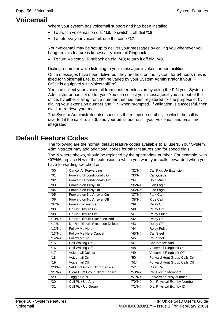# **Voicemail**

Where your system has voicemail support and has been installed:

- [To switch voicemail on dial](#page-45-3) **\*18**, to swit[ch i](#page-45-3)t off dial **\*19**.
- To retrieve your voicemail, use the code **\*17**.

Your voicemail may be set up to deliver your messages by calling you whenever you hang up: this feature is known as Voicemail Ringback.

• To turn Voicemail Ringback on dial **\*48**; to turn it off dial **\*49**.

Dialing a number while listening to your messages invokes further facilities:

Once messages have been delivered, they are held on the system for 54 hours (this is fixed for Voicemail Lite, but can be varied by your System Administrator if your IP Office is equipped with VoicemailPro).

You can collect your voicemail from another extension by using the PIN your System Administrator has set up for you. You can collect your messages if you are out of the office, by either dialing from a number that has been registered for the purpose or by dialing your extension number and PIN when prompted. If validation is successful, then dial **1** to retrieve your mail.

The System Administrator also specifies the reception number, to which the call is diverted if the caller dials **0**, and your email address if your voicemail and email are integrated.

## **Default Feature Codes**

The following are the normal default feature codes available to all users. Your System Administrator may add additional codes for other features and for speed dials.

The **N** where shown, should be replaced by the appropriate number. For example, with **\*07\*N#**, replace **N** with the extension to which you want your calls forwarded when you have forwarding switched on.

| $*00*$    | <b>Cancel All Forwarding</b>    | *32*N# | Call Pick Up Extension       |
|-----------|---------------------------------|--------|------------------------------|
| $*01$     | Forward Unconditionally On      | *33*N# | Call Queue                   |
| $*02$     | Forward Unconditionally Off     | $*34$  | <b>Hold Music</b>            |
| $*03$     | Forward on Busy On              | *35*N# | Extn Login                   |
| $*04$     | Forward on Busy Off             | *36*N# | Extn Logout                  |
| $*05$     | Forward on No Answer On         | *37*N# | Park Call                    |
| $*06$     | Forward on No Answer Off        | *38*N# | Ride Call                    |
| *07*N#    | Forward to number               | *39    | Relay On                     |
| $*08$     | Do Not Disturb On               | $*40$  | <b>Relay Off</b>             |
| $*09$     | Do Not Disturb Off              | $*41$  | <b>Relay Pulse</b>           |
| *10*N#    | Do Not Disturb Exception Add    | $*42$  | Relay On                     |
| $*11*$ N# | Do Not Disturb Exception Delete | $*43$  | Relay Off                    |
| $*12*$ N# | Follow Me Here                  | *44    | <b>Relay Pulse</b>           |
| $*13*$ N# | <b>Follow Me Here Cancel</b>    | *45*N# | Call Steel                   |
| *14*N#    | Follow Me To                    | $*46$  | Call Steel                   |
| $*15$     | Call Waiting On                 | $*47$  | Conference Add               |
| $*16$     | Call Waiting Off                | $*48$  | Voicemail Ringback On        |
| $*17$     | Voicemail Collect               | $*49$  | Voicemail Ringback Off       |
| $*18$     | Voicemail On                    | $*50$  | Forward Hunt Group Calls On  |
| $*19$     | Voicemail Off                   | $*51$  | Forward Hunt Group Calls Off |
| *20*N#    | Set Hunt Group Night Service    | $*52$  | Clear Call                   |
| *21*N#    | Clear Hunt Group Night Service  | *53*N# | Call Pickup Members          |
| $*29$     | <b>Toggle Calls</b>             | *57*N# | Forward on busy number       |
| $*30$     | Call Pick Up Any                | *70*N# | Dial Physical Extn by Number |
| $*31$     | Call Pick Up Group              | *71*N# | Dial Physical Extn by ID     |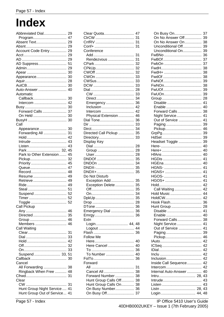# <span id="page-56-0"></span>**Index**

<span id="page-56-3"></span><span id="page-56-2"></span><span id="page-56-1"></span>

| Abbreviated Dial                                             | 29 |
|--------------------------------------------------------------|----|
| Program 47                                                   |    |
| Absent Text                                                  | 29 |
|                                                              | 29 |
| Account Code Entry                                           | 29 |
|                                                              | 29 |
|                                                              | 29 |
| AD Suppress                                                  | 51 |
|                                                              | 29 |
|                                                              | 30 |
| Appearance                                                   | 30 |
|                                                              | 28 |
|                                                              | 30 |
|                                                              |    |
| Auto-Answer  40                                              |    |
| Automatic                                                    |    |
| Callback                                                     | 30 |
| Intercom                                                     | 42 |
|                                                              | 30 |
| Forward Calls                                                | 37 |
| On Held                                                      | 30 |
|                                                              | 30 |
| Call                                                         |    |
| Appearance                                                   | 30 |
| Forwarding All                                               | 31 |
|                                                              | 42 |
| Intrude                                                      | 43 |
|                                                              | 43 |
| Park 32, 45                                                  |    |
| Park to Other Extension                                      | 45 |
|                                                              | 32 |
|                                                              | 45 |
|                                                              |    |
|                                                              |    |
|                                                              | 47 |
| Record                                                       | 48 |
| Resume                                                       | 49 |
| Retrieve  49                                                 |    |
|                                                              |    |
|                                                              | 51 |
| Suspend                                                      | 52 |
|                                                              | 52 |
| Toggle                                                       |    |
| Call Pickup                                                  |    |
|                                                              |    |
|                                                              |    |
|                                                              |    |
|                                                              |    |
| Members  46                                                  |    |
| Call Waiting                                                 |    |
|                                                              | 31 |
|                                                              | 33 |
|                                                              |    |
|                                                              |    |
|                                                              | 33 |
| Suspend  33, 51                                              |    |
| Callback                                                     | 30 |
| Cancel                                                       |    |
| All Forwarding                                               | 38 |
| Ringback When Free  48                                       |    |
|                                                              | 31 |
| Clear                                                        |    |
|                                                              | 31 |
| Hunt Group Night Service  41<br>Hunt Group Out of Service 41 |    |

| Clear Quota                   | 47 |
|-------------------------------|----|
|                               | 31 |
|                               | 31 |
|                               | 31 |
| Conference                    |    |
|                               | 31 |
| Rendezvous                    | 31 |
|                               | 32 |
|                               | 32 |
|                               |    |
|                               | 32 |
|                               | 33 |
|                               | 33 |
|                               | 33 |
|                               | 28 |
|                               | 33 |
|                               | 34 |
| Emergency                     | 36 |
| Inclusion                     | 42 |
|                               | 42 |
| Intercom                      |    |
| Physical Extension            | 46 |
| Dial Tone                     | 36 |
|                               | 33 |
|                               | 34 |
| Directed Call Pickup          | 35 |
| Directory                     | 33 |
| Display Key                   |    |
|                               | 28 |
|                               | 28 |
|                               |    |
|                               | 28 |
|                               | 35 |
|                               |    |
|                               |    |
|                               |    |
| Do Not Disturb                |    |
| Exception Add                 | 35 |
| Exception Delete              | 35 |
|                               | 35 |
|                               |    |
|                               | 34 |
|                               | 35 |
|                               | 28 |
|                               |    |
| Emergency Dial                | 36 |
|                               | 36 |
| Extn                          |    |
| Login 44, 48                  |    |
|                               |    |
|                               |    |
|                               |    |
| <b>Follow Me</b>              |    |
|                               | 40 |
| Here Cancel                   | 40 |
|                               | 36 |
| To Number  40                 |    |
|                               | 36 |
| Forward                       |    |
|                               |    |
| Cancel All                    |    |
|                               | 31 |
|                               | 38 |
| Forward Number                | 38 |
| Hunt Group Calls Off          | 38 |
| Hunt Group Calls On           | 38 |
|                               | 36 |
| On Busy Number<br>On Busy Off | 37 |

| On Busy On           | 37 |
|----------------------|----|
| On No Answer Off     | 39 |
| On No Answer On      | 38 |
| Unconditional Off    | 39 |
| Unconditional On     | 39 |
| FwBNo                | 36 |
|                      | 37 |
|                      | 37 |
|                      | 38 |
|                      | 38 |
|                      | 38 |
|                      | 39 |
| FwNOn                | 38 |
|                      | 39 |
|                      | 39 |
|                      | 28 |
|                      | 41 |
| Disable              |    |
| Enable               | 40 |
| Forward Calls        | 38 |
| Night Service        | 41 |
| Out of Service       | 41 |
|                      | 39 |
|                      | 46 |
|                      | 39 |
|                      | 39 |
| Headset Toggle       | 39 |
|                      | 40 |
|                      | 40 |
|                      | 40 |
|                      | 41 |
|                      | 40 |
|                      | 41 |
|                      | 41 |
|                      | 41 |
|                      | 41 |
|                      |    |
|                      | 42 |
| Call Waiting         | 42 |
| Hold Music           | 44 |
| HoldCW               | 42 |
| Hook Flash           | 36 |
| Hunt Group           | 28 |
| Disable              | 41 |
| Enable               | 40 |
| Forward Calls        | 38 |
| Night Service        | 41 |
| Out of Service       | 41 |
|                      | 39 |
|                      | 46 |
|                      | 42 |
|                      | 42 |
|                      | 42 |
|                      | 42 |
| Inclusion            | 42 |
| Inside Call Sequence | 42 |
|                      |    |
|                      | 42 |
| Internal Auto-Answer | 40 |
|                      | 43 |
|                      | 43 |
|                      | 43 |
| Listn  28, 43        |    |
| Login  44, 48        |    |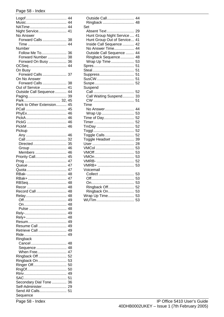#### Page 58 - Index

<span id="page-57-2"></span><span id="page-57-1"></span><span id="page-57-0"></span>

|                               | 44 |
|-------------------------------|----|
|                               |    |
|                               |    |
| Night Service                 | 41 |
| No Answer                     |    |
| Forward Calls                 | 38 |
|                               | 44 |
| Number                        |    |
| Follow Me To                  | 36 |
| Forward Number                | 38 |
| Forward On Busy  36           |    |
|                               |    |
| On Busy                       |    |
| Forward Calls 37              |    |
| On No Answer                  |    |
| Forward Calls                 | 38 |
| Out of Service                | 41 |
| Outside Call Sequence         | 44 |
|                               | 39 |
|                               | 45 |
| Park to Other Extension       | 45 |
|                               | 45 |
|                               | 46 |
|                               | 46 |
|                               | 46 |
|                               |    |
|                               | 46 |
| Pickup                        |    |
|                               | 46 |
|                               | 32 |
| Directed                      | 35 |
|                               | 46 |
| Members                       | 46 |
| Priority Call                 | 45 |
|                               | 47 |
|                               | 47 |
|                               | 47 |
|                               | 48 |
|                               | 47 |
|                               | 48 |
|                               | 48 |
| Record Call                   | 48 |
|                               | 48 |
|                               | 49 |
|                               | 48 |
|                               | 48 |
|                               | 49 |
|                               | 48 |
|                               | 49 |
|                               |    |
|                               |    |
| Resume Call                   | 49 |
| Retrieve Call                 | 49 |
|                               | 49 |
| Ringback                      |    |
| Cancel                        | 48 |
| Sequence                      | 48 |
| When Free                     | 47 |
| Ringback Off                  | 52 |
| Ringback On                   | 53 |
| Ringer Off                    | 50 |
|                               | 50 |
|                               | 49 |
|                               | 51 |
| Secondary Dial Tone  36       |    |
| Self-Administer 29            |    |
| Send All Calls 51<br>Sequence |    |

| Outside Call<br>Ringback<br>Set | 44<br>48 |
|---------------------------------|----------|
| Absent Text                     | 29       |
| Hunt Group Night Service        | 41       |
| Hunt Group Out of Service       | 41       |
| Inside Call Sequence            | 42       |
| No Answer Time                  | 44       |
| Outside Call Sequence           | 44       |
| Ringback Sequence               | 48       |
| Wrap Up Time                    | 53       |
|                                 | 51       |
|                                 | 51       |
|                                 | 51       |
|                                 | 51       |
|                                 | 52       |
| Suspend                         |          |
|                                 | 52       |
| Call Waiting Suspend            | 33       |
|                                 | 51       |
| Time                            |          |
| No Answer                       | 44       |
| Wrap Up                         | 53       |
| Time of Day                     | 52       |
|                                 | 52       |
|                                 | 52       |
|                                 | 52       |
| Toggle Calls                    | 52       |
| Toggle Headset                  | 39       |
|                                 | 28       |
|                                 | 53       |
|                                 | 53       |
|                                 | 53       |
|                                 | 52       |
| VMRB+                           | 53       |
| Voicemail                       |          |
|                                 | 53       |
|                                 | 53       |
|                                 | 53       |
| Ringback Off                    | 52       |
| Ringback On                     | 53       |
| Wrap Up Time                    | 53       |
|                                 | 53       |